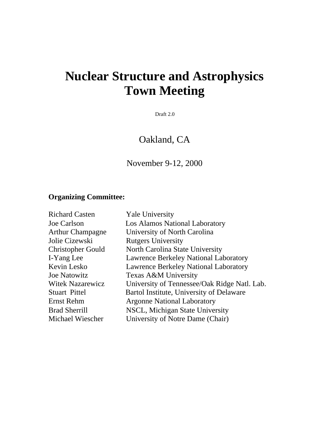# **Nuclear Structure and Astrophysics Town Meeting**

Draft 2.0

Oakland, CA

November 9-12, 2000

# **Organizing Committee:**

| <b>Richard Casten</b>    | <b>Yale University</b>                       |
|--------------------------|----------------------------------------------|
| Joe Carlson              | Los Alamos National Laboratory               |
| <b>Arthur Champagne</b>  | University of North Carolina                 |
| Jolie Cizewski           | <b>Rutgers University</b>                    |
| <b>Christopher Gould</b> | North Carolina State University              |
| I-Yang Lee               | <b>Lawrence Berkeley National Laboratory</b> |
| Kevin Lesko              | <b>Lawrence Berkeley National Laboratory</b> |
| <b>Joe Natowitz</b>      | Texas A&M University                         |
| <b>Witek Nazarewicz</b>  | University of Tennessee/Oak Ridge Natl. Lab. |
| <b>Stuart Pittel</b>     | Bartol Institute, University of Delaware     |
| Ernst Rehm               | <b>Argonne National Laboratory</b>           |
| <b>Brad Sherrill</b>     | NSCL, Michigan State University              |
| Michael Wiescher         | University of Notre Dame (Chair)             |
|                          |                                              |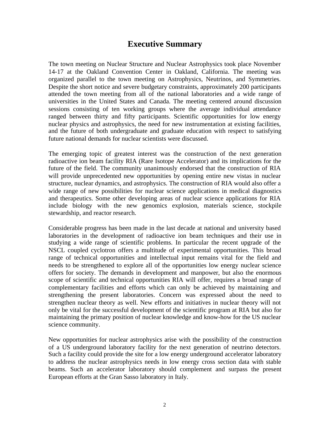# **Executive Summary**

The town meeting on Nuclear Structure and Nuclear Astrophysics took place November 14-17 at the Oakland Convention Center in Oakland, California. The meeting was organized parallel to the town meeting on Astrophysics, Neutrinos, and Symmetries. Despite the short notice and severe budgetary constraints, approximately 200 participants attended the town meeting from all of the national laboratories and a wide range of universities in the United States and Canada. The meeting centered around discussion sessions consisting of ten working groups where the average individual attendance ranged between thirty and fifty participants. Scientific opportunities for low energy nuclear physics and astrophysics, the need for new instrumentation at existing facilities, and the future of both undergraduate and graduate education with respect to satisfying future national demands for nuclear scientists were discussed.

The emerging topic of greatest interest was the construction of the next generation radioactive ion beam facility RIA (Rare Isotope Accelerator) and its implications for the future of the field. The community unanimously endorsed that the construction of RIA will provide unprecedented new opportunities by opening entire new vistas in nuclear structure, nuclear dynamics, and astrophysics. The construction of RIA would also offer a wide range of new possibilities for nuclear science applications in medical diagnostics and therapeutics. Some other developing areas of nuclear science applications for RIA include biology with the new genomics explosion, materials science, stockpile stewardship, and reactor research.

Considerable progress has been made in the last decade at national and university based laboratories in the development of radioactive ion beam techniques and their use in studying a wide range of scientific problems. In particular the recent upgrade of the NSCL coupled cyclotron offers a multitude of experimental opportunities. This broad range of technical opportunities and intellectual input remains vital for the field and needs to be strengthened to explore all of the opportunities low energy nuclear science offers for society. The demands in development and manpower, but also the enormous scope of scientific and technical opportunities RIA will offer, requires a broad range of complementary facilities and efforts which can only be achieved by maintaining and strengthening the present laboratories. Concern was expressed about the need to strengthen nuclear theory as well. New efforts and initiatives in nuclear theory will not only be vital for the successful development of the scientific program at RIA but also for maintaining the primary position of nuclear knowledge and know-how for the US nuclear science community.

New opportunities for nuclear astrophysics arise with the possibility of the construction of a US underground laboratory facility for the next generation of neutrino detectors. Such a facility could provide the site for a low energy underground accelerator laboratory to address the nuclear astrophysics needs in low energy cross section data with stable beams. Such an accelerator laboratory should complement and surpass the present European efforts at the Gran Sasso laboratory in Italy.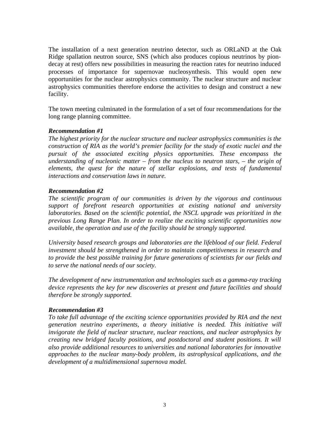The installation of a next generation neutrino detector, such as ORLaND at the Oak Ridge spallation neutron source, SNS (which also produces copious neutrinos by piondecay at rest) offers new possibilities in measuring the reaction rates for neutrino induced processes of importance for supernovae nucleosynthesis. This would open new opportunities for the nuclear astrophysics community. The nuclear structure and nuclear astrophysics communities therefore endorse the activities to design and construct a new facility.

The town meeting culminated in the formulation of a set of four recommendations for the long range planning committee.

## *Recommendation #1*

*The highest priority for the nuclear structure and nuclear astrophysics communities is the construction of RIA as the world's premier facility for the study of exotic nuclei and the pursuit of the associated exciting physics opportunities. These encompass the understanding of nucleonic matter – from the nucleus to neutron stars, – the origin of elements, the quest for the nature of stellar explosions, and tests of fundamental interactions and conservation laws in nature.*

## *Recommendation #2*

*The scientific program of our communities is driven by the vigorous and continuous support of forefront research opportunities at existing national and university laboratories. Based on the scientific potential, the NSCL upgrade was prioritized in the previous Long Range Plan. In order to realize the exciting scientific opportunities now available, the operation and use of the facility should be strongly supported*.

*University based research groups and laboratories are the lifeblood of our field. Federal investment should be strengthened in order to maintain competitiveness in research and to provide the best possible training for future generations of scientists for our fields and to serve the national needs of our society.*

*The development of new instrumentation and technologies such as a gamma-ray tracking device represents the key for new discoveries at present and future facilities and should therefore be strongly supported.*

## *Recommendation #3*

*To take full advantage of the exciting science opportunities provided by RIA and the next generation neutrino experiments, a theory initiative is needed. This initiative will invigorate the field of nuclear structure, nuclear reactions, and nuclear astrophysics by creating new bridged faculty positions, and postdoctoral and student positions. It will also provide additional resources to universities and national laboratories for innovative approaches to the nuclear many-body problem, its astrophysical applications, and the development of a multidimensional supernova model.*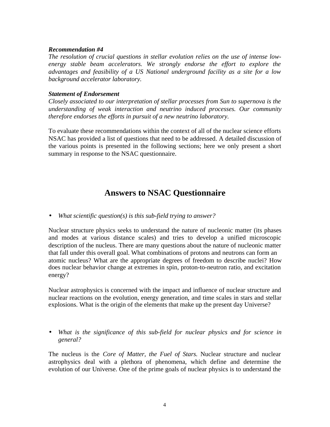#### *Recommendation #4*

*The resolution of crucial questions in stellar evolution relies on the use of intense lowenergy stable beam accelerators. We strongly endorse the effort to explore the advantages and feasibility of a US National underground facility as a site for a low background accelerator laboratory.*

#### *Statement of Endorsement*

*Closely associated to our interpretation of stellar processes from Sun to supernova is the understanding of weak interaction and neutrino induced processes. Our community therefore endorses the efforts in pursuit of a new neutrino laboratory.*

To evaluate these recommendations within the context of all of the nuclear science efforts NSAC has provided a list of questions that need to be addressed. A detailed discussion of the various points is presented in the following sections; here we only present a short summary in response to the NSAC questionnaire.

# **Answers to NSAC Questionnaire**

• *What scientific question(s) is this sub-field trying to answer?*

Nuclear structure physics seeks to understand the nature of nucleonic matter (its phases and modes at various distance scales) and tries to develop a unified microscopic description of the nucleus. There are many questions about the nature of nucleonic matter that fall under this overall goal. What combinations of protons and neutrons can form an atomic nucleus? What are the appropriate degrees of freedom to describe nuclei? How does nuclear behavior change at extremes in spin, proton-to-neutron ratio, and excitation energy?

Nuclear astrophysics is concerned with the impact and influence of nuclear structure and nuclear reactions on the evolution, energy generation, and time scales in stars and stellar explosions. What is the origin of the elements that make up the present day Universe?

• *What is the significance of this sub-field for nuclear physics and for science in general?*

The nucleus is the *Core of Matter, the Fuel of Stars.* Nuclear structure and nuclear astrophysics deal with a plethora of phenomena, which define and determine the evolution of our Universe. One of the prime goals of nuclear physics is to understand the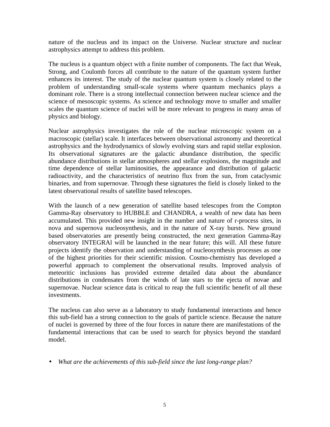nature of the nucleus and its impact on the Universe. Nuclear structure and nuclear astrophysics attempt to address this problem.

The nucleus is a quantum object with a finite number of components. The fact that Weak, Strong, and Coulomb forces all contribute to the nature of the quantum system further enhances its interest. The study of the nuclear quantum system is closely related to the problem of understanding small-scale systems where quantum mechanics plays a dominant role. There is a strong intellectual connection between nuclear science and the science of mesoscopic systems. As science and technology move to smaller and smaller scales the quantum science of nuclei will be more relevant to progress in many areas of physics and biology.

Nuclear astrophysics investigates the role of the nuclear microscopic system on a macroscopic (stellar) scale. It interfaces between observational astronomy and theoretical astrophysics and the hydrodynamics of slowly evolving stars and rapid stellar explosion. Its observational signatures are the galactic abundance distribution, the specific abundance distributions in stellar atmospheres and stellar explosions, the magnitude and time dependence of stellar luminosities, the appearance and distribution of galactic radioactivity, and the characteristics of neutrino flux from the sun, from cataclysmic binaries, and from supernovae. Through these signatures the field is closely linked to the latest observational results of satellite based telescopes.

With the launch of a new generation of satellite based telescopes from the Compton Gamma-Ray observatory to HUBBLE and CHANDRA, a wealth of new data has been accumulated. This provided new insight in the number and nature of r-process sites, in nova and supernova nucleosynthesis, and in the nature of X-ray bursts. New ground based observatories are presently being constructed, the next generation Gamma-Ray observatory INTEGRAl will be launched in the near future; this will. All these future projects identify the observation and understanding of nucleosynthesis processes as one of the highest priorities for their scientific mission. Cosmo-chemistry has developed a powerful approach to complement the observational results. Improved analysis of meteoritic inclusions has provided extreme detailed data about the abundance distributions in condensates from the winds of late stars to the ejecta of novae and supernovae. Nuclear science data is critical to reap the full scientific benefit of all these investments.

The nucleus can also serve as a laboratory to study fundamental interactions and hence this sub-field has a strong connection to the goals of particle science. Because the nature of nuclei is governed by three of the four forces in nature there are manifestations of the fundamental interactions that can be used to search for physics beyond the standard model.

• *What are the achievements of this sub-field since the last long-range plan?*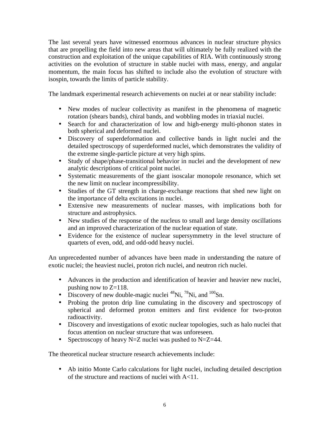The last several years have witnessed enormous advances in nuclear structure physics that are propelling the field into new areas that will ultimately be fully realized with the construction and exploitation of the unique capabilities of RIA. With continuously strong activities on the evolution of structure in stable nuclei with mass, energy, and angular momentum, the main focus has shifted to include also the evolution of structure with isospin, towards the limits of particle stability.

The landmark experimental research achievements on nuclei at or near stability include:

- New modes of nuclear collectivity as manifest in the phenomena of magnetic rotation (shears bands), chiral bands, and wobbling modes in triaxial nuclei.
- Search for and characterization of low and high-energy multi-phonon states in both spherical and deformed nuclei.
- Discovery of superdeformation and collective bands in light nuclei and the detailed spectroscopy of superdeformed nuclei, which demonstrates the validity of the extreme single-particle picture at very high spins.
- Study of shape/phase-transitional behavior in nuclei and the development of new analytic descriptions of critical point nuclei.
- Systematic measurements of the giant isoscalar monopole resonance, which set the new limit on nuclear incompressibility.
- Studies of the GT strength in charge-exchange reactions that shed new light on the importance of delta excitations in nuclei.
- Extensive new measurements of nuclear masses, with implications both for structure and astrophysics.
- New studies of the response of the nucleus to small and large density oscillations and an improved characterization of the nuclear equation of state.
- Evidence for the existence of nuclear supersymmetry in the level structure of quartets of even, odd, and odd-odd heavy nuclei.

An unprecedented number of advances have been made in understanding the nature of exotic nuclei; the heaviest nuclei, proton rich nuclei, and neutron rich nuclei.

- Advances in the production and identification of heavier and heavier new nuclei, pushing now to  $Z=118$ .
- Discovery of new double-magic nuclei  $^{48}$ Ni,  $^{78}$ Ni, and  $^{100}$ Sn.
- Probing the proton drip line cumulating in the discovery and spectroscopy of spherical and deformed proton emitters and first evidence for two-proton radioactivity.
- Discovery and investigations of exotic nuclear topologies, such as halo nuclei that focus attention on nuclear structure that was unforeseen.
- Spectroscopy of heavy N=Z nuclei was pushed to N=Z=44.

The theoretical nuclear structure research achievements include:

• Ab initio Monte Carlo calculations for light nuclei, including detailed description of the structure and reactions of nuclei with A<11.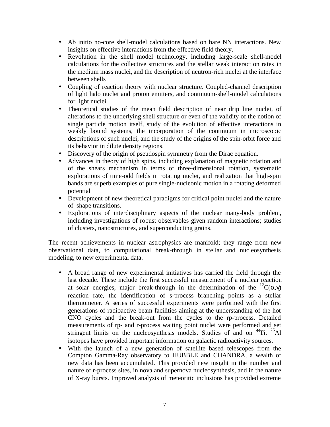- Ab initio no-core shell-model calculations based on bare NN interactions. New insights on effective interactions from the effective field theory.
- Revolution in the shell model technology, including large-scale shell-model calculations for the collective structures and the stellar weak interaction rates in the medium mass nuclei, and the description of neutron-rich nuclei at the interface between shells
- Coupling of reaction theory with nuclear structure. Coupled-channel description of light halo nuclei and proton emitters, and continuum-shell-model calculations for light nuclei.
- Theoretical studies of the mean field description of near drip line nuclei, of alterations to the underlying shell structure or even of the validity of the notion of single particle motion itself, study of the evolution of effective interactions in weakly bound systems, the incorporation of the continuum in microscopic descriptions of such nuclei, and the study of the origins of the spin-orbit force and its behavior in dilute density regions.
- Discovery of the origin of pseudospin symmetry from the Dirac equation.
- Advances in theory of high spins, including explanation of magnetic rotation and of the shears mechanism in terms of three-dimensional rotation, systematic explorations of time-odd fields in rotating nuclei, and realization that high-spin bands are superb examples of pure single-nucleonic motion in a rotating deformed potential
- Development of new theoretical paradigms for critical point nuclei and the nature of shape transitions.
- Explorations of interdisciplinary aspects of the nuclear many-body problem, including investigations of robust observables given random interactions; studies of clusters, nanostructures, and superconducting grains.

The recent achievements in nuclear astrophysics are manifold; they range from new observational data, to computational break-through in stellar and nucleosynthesis modeling, to new experimental data.

- A broad range of new experimental initiatives has carried the field through the last decade. These include the first successful measurement of a nuclear reaction at solar energies, major break-through in the determination of the  ${}^{12}C(\alpha, \gamma)$ reaction rate, the identification of s-process branching points as a stellar thermometer. A series of successful experiments were performed with the first generations of radioactive beam facilities aiming at the understanding of the hot CNO cycles and the break-out from the cycles to the rp-process. Detailed measurements of rp- and r-process waiting point nuclei were performed and set stringent limits on the nucleosynthesis models. Studies of and on  $^{44}$ Ti,  $^{26}$ Al isotopes have provided important information on galactic radioactivity sources.
- With the launch of a new generation of satellite based telescopes from the Compton Gamma-Ray observatory to HUBBLE and CHANDRA, a wealth of new data has been accumulated. This provided new insight in the number and nature of r-process sites, in nova and supernova nucleosynthesis, and in the nature of X-ray bursts. Improved analysis of meteoritic inclusions has provided extreme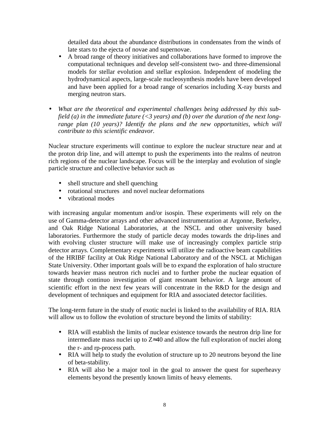detailed data about the abundance distributions in condensates from the winds of late stars to the ejecta of novae and supernovae.

- A broad range of theory initiatives and collaborations have formed to improve the computational techniques and develop self-consistent two- and three-dimensional models for stellar evolution and stellar explosion. Independent of modeling the hydrodynamical aspects, large-scale nucleosynthesis models have been developed and have been applied for a broad range of scenarios including X-ray bursts and merging neutron stars.
- *What are the theoretical and experimental challenges being addressed by this subfield (a) in the immediate future (<3 years) and (b) over the duration of the next longrange plan (10 years)? Identify the plans and the new opportunities, which will contribute to this scientific endeavor.*

Nuclear structure experiments will continue to explore the nuclear structure near and at the proton drip line, and will attempt to push the experiments into the realms of neutron rich regions of the nuclear landscape. Focus will be the interplay and evolution of single particle structure and collective behavior such as

- shell structure and shell quenching
- rotational structures and novel nuclear deformations
- vibrational modes

with increasing angular momentum and/or isospin. These experiments will rely on the use of Gamma-detector arrays and other advanced instrumentation at Argonne, Berkeley, and Oak Ridge National Laboratories, at the NSCL and other university based laboratories. Furthermore the study of particle decay modes towards the drip-lines and with evolving cluster structure will make use of increasingly complex particle strip detector arrays. Complementary experiments will utilize the radioactive beam capabilities of the HRIBF facility at Oak Ridge National Laboratory and of the NSCL at Michigan State University. Other important goals will be to expand the exploration of halo structure towards heavier mass neutron rich nuclei and to further probe the nuclear equation of state through continuo investigation of giant resonant behavior. A large amount of scientific effort in the next few years will concentrate in the R&D for the design and development of techniques and equipment for RIA and associated detector facilities.

The long-term future in the study of exotic nuclei is linked to the availability of RIA. RIA will allow us to follow the evolution of structure beyond the limits of stability:

- RIA will establish the limits of nuclear existence towards the neutron drip line for intermediate mass nuclei up to  $Z \approx 40$  and allow the full exploration of nuclei along the r- and rp-process path.
- RIA will help to study the evolution of structure up to 20 neutrons beyond the line of beta-stability.
- RIA will also be a major tool in the goal to answer the quest for superheavy elements beyond the presently known limits of heavy elements.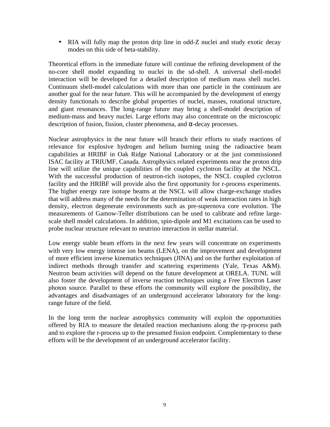• RIA will fully map the proton drip line in odd-Z nuclei and study exotic decay modes on this side of beta-stability.

Theoretical efforts in the immediate future will continue the refining development of the no-core shell model expanding to nuclei in the sd-shell. A universal shell-model interaction will be developed for a detailed description of medium mass shell nuclei. Continuum shell-model calculations with more than one particle in the continuum are another goal for the near future. This will be accompanied by the development of energy density functionals to describe global properties of nuclei, masses, rotational structure, and giant resonances. The long-range future may bring a shell-model description of medium-mass and heavy nuclei. Large efforts may also concentrate on the microscopic description of fusion, fission, cluster phenomena, and  $α$ -decay processes.

Nuclear astrophysics in the near future will branch their efforts to study reactions of relevance for explosive hydrogen and helium burning using the radioactive beam capabilities at HRIBF in Oak Ridge National Laboratory or at the just commissioned ISAC facility at TRIUMF, Canada. Astrophysics related experiments near the proton drip line will utilize the unique capabilities of the coupled cyclotron facility at the NSCL. With the successful production of neutron-rich isotopes, the NSCL coupled cyclotron facility and the HRIBF will provide also the first opportunity for r-process experiments. The higher energy rare isotope beams at the NSCL will allow charge-exchange studies that will address many of the needs for the determination of weak interaction rates in high density, electron degenerate environments such as pre-supernova core evolution. The measurements of Gamow-Teller distributions can be used to calibrate and refine largescale shell model calculations. In addition, spin-dipole and M1 excitations can be used to probe nuclear structure relevant to neutrino interaction in stellar material.

Low energy stable beam efforts in the next few years will concentrate on experiments with very low energy intense ion beams (LENA), on the improvement and development of more efficient inverse kinematics techniques (JINA) and on the further exploitation of indirect methods through transfer and scattering experiments (Yale, Texas A&M). Neutron beam activities will depend on the future development at ORELA. TUNL will also foster the development of inverse reaction techniques using a Free Electron Laser photon source. Parallel to these efforts the community will explore the possibility, the advantages and disadvantages of an underground accelerator laboratory for the longrange future of the field.

In the long term the nuclear astrophysics community will exploit the opportunities offered by RIA to measure the detailed reaction mechanisms along the rp-process path and to explore the r-process up to the presumed fission endpoint. Complementary to these efforts will be the development of an underground accelerator facility.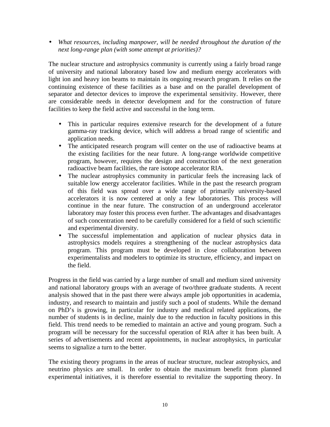• *What resources, including manpower, will be needed throughout the duration of the next long-range plan (with some attempt at priorities)?*

The nuclear structure and astrophysics community is currently using a fairly broad range of university and national laboratory based low and medium energy accelerators with light ion and heavy ion beams to maintain its ongoing research program. It relies on the continuing existence of these facilities as a base and on the parallel development of separator and detector devices to improve the experimental sensitivity. However, there are considerable needs in detector development and for the construction of future facilities to keep the field active and successful in the long term.

- This in particular requires extensive research for the development of a future gamma-ray tracking device, which will address a broad range of scientific and application needs.
- The anticipated research program will center on the use of radioactive beams at the existing facilities for the near future. A long-range worldwide competitive program, however, requires the design and construction of the next generation radioactive beam facilities, the rare isotope accelerator RIA.
- The nuclear astrophysics community in particular feels the increasing lack of suitable low energy accelerator facilities. While in the past the research program of this field was spread over a wide range of primarily university-based accelerators it is now centered at only a few laboratories. This process will continue in the near future. The construction of an underground accelerator laboratory may foster this process even further. The advantages and disadvantages of such concentration need to be carefully considered for a field of such scientific and experimental diversity.
- The successful implementation and application of nuclear physics data in astrophysics models requires a strengthening of the nuclear astrophysics data program. This program must be developed in close collaboration between experimentalists and modelers to optimize its structure, efficiency, and impact on the field.

Progress in the field was carried by a large number of small and medium sized university and national laboratory groups with an average of two/three graduate students. A recent analysis showed that in the past there were always ample job opportunities in academia, industry, and research to maintain and justify such a pool of students. While the demand on PhD's is growing, in particular for industry and medical related applications, the number of students is in decline, mainly due to the reduction in faculty positions in this field. This trend needs to be remedied to maintain an active and young program. Such a program will be necessary for the successful operation of RIA after it has been built. A series of advertisements and recent appointments, in nuclear astrophysics, in particular seems to signalize a turn to the better.

The existing theory programs in the areas of nuclear structure, nuclear astrophysics, and neutrino physics are small. In order to obtain the maximum benefit from planned experimental initiatives, it is therefore essential to revitalize the supporting theory. In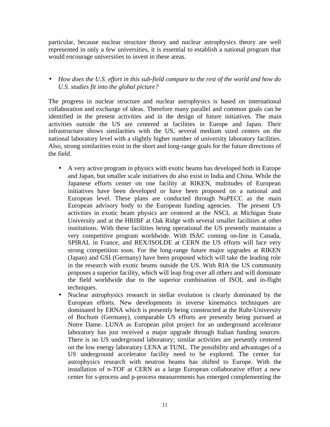particular, because nuclear structure theory and nuclear astrophysics theory are well represented in only a few universities, it is essential to establish a national program that would encourage universities to invest in these areas.

## • *How does the U.S. effort in this sub-field compare to the rest of the world and how do U.S. studies fit into the global picture?*

The progress in nuclear structure and nuclear astrophysics is based on international collaboration and exchange of ideas. Therefore many parallel and common goals can be identified in the present activities and in the design of future initiatives. The main activities outside the US are centered at facilities in Europe and Japan. Their infrastructure shows similarities with the US, several medium sized centers on the national laboratory level with a slightly higher number of university laboratory facilities. Also, strong similarities exist in the short and long-range goals for the future directions of the field.

- A very active program in physics with exotic beams has developed both in Europe and Japan, but smaller scale initiatives do also exist in India and China. While the Japanese efforts center on one facility at RIKEN, multitudes of European initiatives have been developed or have been proposed on a national and European level. These plans are conducted through NuPECC as the main European advisory body to the European funding agencies. The present US activities in exotic beam physics are centered at the NSCL at Michigan State University and at the HRIBF at Oak Ridge with several smaller facilities at other institutions. With these facilities being operational the US presently maintains a very competitive program worldwide. With ISAC coming on-line in Canada, SPIRAL in France, and REX/ISOLDE at CERN the US efforts will face very strong competition soon. For the long-range future major upgrades at RIKEN (Japan) and GSI (Germany) have been proposed which will take the leading role in the research with exotic beams outside the US. With RIA the US community proposes a superior facility, which will leap frog over all others and will dominate the field worldwide due to the superior combination of ISOL and in-flight techniques.
- Nuclear astrophysics research in stellar evolution is clearly dominated by the European efforts. New developments in inverse kinematics techniques are dominated by ERNA which is presently being constructed at the Ruhr-University of Bochum (Germany), comparable US efforts are presently being pursued at Notre Dame. LUNA as European pilot project for an underground accelerator laboratory has just received a major upgrade through Italian funding sources. There is no US underground laboratory; similar activities are presently centered on the low energy laboratory LENA at TUNL. The possibility and advantages of a US underground accelerator facility need to be explored. The center for astrophysics research with neutron beams has shifted to Europe. With the installation of n-TOF at CERN as a large European collaborative effort a new center for s-process and p-process measurements has emerged complementing the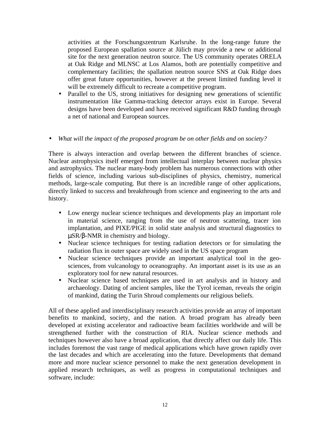activities at the Forschungszentrum Karlsruhe. In the long-range future the proposed European spallation source at Jülich may provide a new or additional site for the next generation neutron source. The US community operates ORELA at Oak Ridge and MLNSC at Los Alamos, both are potentially competitive and complementary facilities; the spallation neutron source SNS at Oak Ridge does offer great future opportunities, however at the present limited funding level it will be extremely difficult to recreate a competitive program.

• Parallel to the US, strong initiatives for designing new generations of scientific instrumentation like Gamma-tracking detector arrays exist in Europe. Several designs have been developed and have received significant R&D funding through a net of national and European sources.

## • *What will the impact of the proposed program be on other fields and on society?*

There is always interaction and overlap between the different branches of science. Nuclear astrophysics itself emerged from intellectual interplay between nuclear physics and astrophysics. The nuclear many-body problem has numerous connections with other fields of science, including various sub-disciplines of physics, chemistry, numerical methods, large-scale computing. But there is an incredible range of other applications, directly linked to success and breakthrough from science and engineering to the arts and history.

- Low energy nuclear science techniques and developments play an important role in material science, ranging from the use of neutron scattering, tracer ion implantation, and PIXE/PIGE in solid state analysis and structural diagnostics to µSR/β-NMR in chemistry and biology.
- Nuclear science techniques for testing radiation detectors or for simulating the radiation flux in outer space are widely used in the US space program
- Nuclear science techniques provide an important analytical tool in the geosciences, from vulcanology to oceanography. An important asset is its use as an exploratory tool for new natural resources.
- Nuclear science based techniques are used in art analysis and in history and archaeology. Dating of ancient samples, like the Tyrol iceman, reveals the origin of mankind, dating the Turin Shroud complements our religious beliefs.

All of these applied and interdisciplinary research activities provide an array of important benefits to mankind, society, and the nation. A broad program has already been developed at existing accelerator and radioactive beam facilities worldwide and will be strengthened further with the construction of RIA. Nuclear science methods and techniques however also have a broad application, that directly affect our daily life. This includes foremost the vast range of medical applications which have grown rapidly over the last decades and which are accelerating into the future. Developments that demand more and more nuclear science personnel to make the next generation development in applied research techniques, as well as progress in computational techniques and software, include: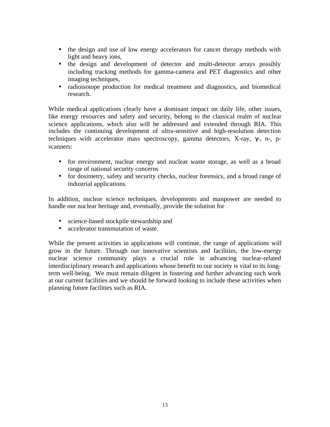- the design and use of low energy accelerators for cancer therapy methods with light and heavy ions,
- the design and development of detector and multi-detector arrays possibly including tracking methods for gamma-camera and PET diagnostics and other imaging techniques,
- radioisotope production for medical treatment and diagnostics, and biomedical research.

While medical applications clearly have a dominant impact on daily life, other issues, like energy resources and safety and security, belong to the classical realm of nuclear science applications, which also will be addressed and extended through RIA. This includes the continuing development of ultra-sensitive and high-resolution detection techniques with accelerator mass spectroscopy, gamma detectors, X-ray, γ-, n-, pscanners:

- for environment, nuclear energy and nuclear waste storage, as well as a broad range of national security concerns
- for dosimetry, safety and security checks, nuclear forensics, and a broad range of industrial applications.

In addition, nuclear science techniques, developments and manpower are needed to handle our nuclear heritage and, eventually, provide the solution for

- science-based stockpile stewardship and
- accelerator transmutation of waste.

While the present activities in applications will continue, the range of applications will grow in the future. Through our innovative scientists and facilities, the low-energy nuclear science community plays a crucial role in advancing nuclear-related interdisciplinary research and applications whose benefit to our society is vital to its longterm well-being. We must remain diligent in fostering and further advancing such work at our current facilities and we should be forward looking to include these activities when planning future facilities such as RIA.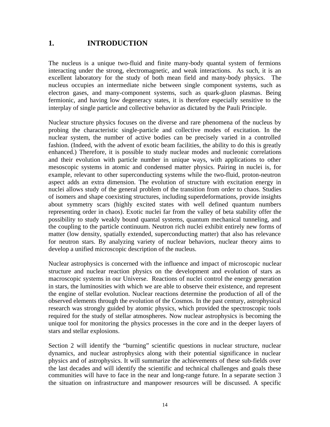# **1. INTRODUCTION**

The nucleus is a unique two-fluid and finite many-body quantal system of fermions interacting under the strong, electromagnetic, and weak interactions. As such, it is an excellent laboratory for the study of both mean field and many-body physics. The nucleus occupies an intermediate niche between single component systems, such as electron gases, and many-component systems, such as quark-gluon plasmas. Being fermionic, and having low degeneracy states, it is therefore especially sensitive to the interplay of single particle and collective behavior as dictated by the Pauli Principle.

Nuclear structure physics focuses on the diverse and rare phenomena of the nucleus by probing the characteristic single-particle and collective modes of excitation. In the nuclear system, the number of active bodies can be precisely varied in a controlled fashion. (Indeed, with the advent of exotic beam facilities, the ability to do this is greatly enhanced.) Therefore, it is possible to study nuclear modes and nucleonic correlations and their evolution with particle number in unique ways, with applications to other mesoscopic systems in atomic and condensed matter physics. Pairing in nuclei is, for example, relevant to other superconducting systems while the two-fluid, proton-neutron aspect adds an extra dimension. The evolution of structure with excitation energy in nuclei allows study of the general problem of the transition from order to chaos. Studies of isomers and shape coexisting structures, including superdeformations, provide insights about symmetry scars (highly excited states with well defined quantum numbers representing order in chaos). Exotic nuclei far from the valley of beta stability offer the possibility to study weakly bound quantal systems, quantum mechanical tunneling, and the coupling to the particle continuum. Neutron rich nuclei exhibit entirely new forms of matter (low density, spatially extended, superconducting matter) that also has relevance for neutron stars. By analyzing variety of nuclear behaviors, nuclear theory aims to develop a unified microscopic description of the nucleus.

Nuclear astrophysics is concerned with the influence and impact of microscopic nuclear structure and nuclear reaction physics on the development and evolution of stars as macroscopic systems in our Universe. Reactions of nuclei control the energy generation in stars, the luminosities with which we are able to observe their existence, and represent the engine of stellar evolution. Nuclear reactions determine the production of all of the observed elements through the evolution of the Cosmos. In the past century, astrophysical research was strongly guided by atomic physics, which provided the spectroscopic tools required for the study of stellar atmospheres. Now nuclear astrophysics is becoming the unique tool for monitoring the physics processes in the core and in the deeper layers of stars and stellar explosions.

Section 2 will identify the "burning" scientific questions in nuclear structure, nuclear dynamics, and nuclear astrophysics along with their potential significance in nuclear physics and of astrophysics. It will summarize the achievements of these sub-fields over the last decades and will identify the scientific and technical challenges and goals these communities will have to face in the near and long-range future. In a separate section 3 the situation on infrastructure and manpower resources will be discussed. A specific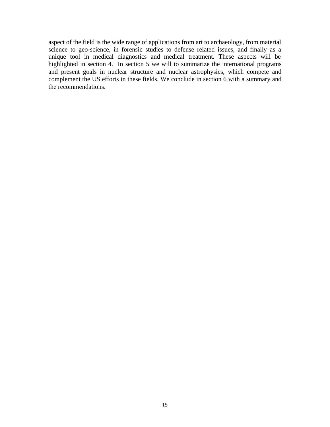aspect of the field is the wide range of applications from art to archaeology, from material science to geo-science, in forensic studies to defense related issues, and finally as a unique tool in medical diagnostics and medical treatment. These aspects will be highlighted in section 4. In section 5 we will to summarize the international programs and present goals in nuclear structure and nuclear astrophysics, which compete and complement the US efforts in these fields. We conclude in section 6 with a summary and the recommendations.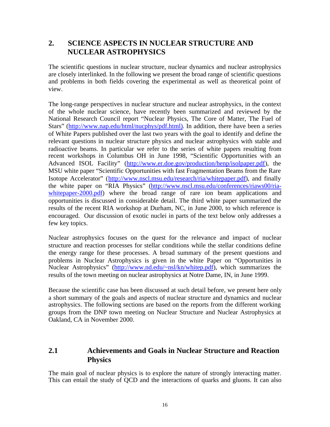# **2. SCIENCE ASPECTS IN NUCLEAR STRUCTURE AND NUCLEAR ASTROPHYSICS**

The scientific questions in nuclear structure, nuclear dynamics and nuclear astrophysics are closely interlinked. In the following we present the broad range of scientific questions and problems in both fields covering the experimental as well as theoretical point of view.

The long-range perspectives in nuclear structure and nuclear astrophysics, in the context of the whole nuclear science, have recently been summarized and reviewed by the National Research Council report "Nuclear Physics, The Core of Matter, The Fuel of Stars" (http://www.nap.edu/html/nucphys/pdf.html). In addition, there have been a series of White Papers published over the last two years with the goal to identify and define the relevant questions in nuclear structure physics and nuclear astrophysics with stable and radioactive beams. In particular we refer to the series of white papers resulting from recent workshops in Columbus OH in June 1998, "Scientific Opportunities with an Advanced ISOL Facility" [\(http://www.er.doe.gov/production/henp/isolpaper.pdf](http://www.er.doe.gov/production/henp/isolpaper.pdf)), the MSU white paper "Scientific Opportunities with fast Fragmentation Beams from the Rare Isotope Accelerator" (<http://www.nscl.msu.edu/research/ria/whitepaper.pdf>), and finally the white paper on "RIA Physics" [\(http://www.nscl.msu.edu/conferences/riaws00/ria](http://www.nscl.msu.edu/conferences/riaws00/ria-)whitepaper-2000.pdf) where the broad range of rare ion beam applications and opportunities is discussed in considerable detail. The third white paper summarized the results of the recent RIA workshop at Durham, NC, in June 2000, to which reference is encouraged. Our discussion of exotic nuclei in parts of the text below only addresses a few key topics.

Nuclear astrophysics focuses on the quest for the relevance and impact of nuclear structure and reaction processes for stellar conditions while the stellar conditions define the energy range for these processes. A broad summary of the present questions and problems in Nuclear Astrophysics is given in the white Paper on "Opportunities in Nuclear Astrophysics" [\(http://www.nd.edu/~nsl/kn/whitep.pdf](http://www.nd.edu/~nsl/kn/whitep.pdf)), which summarizes the results of the town meeting on nuclear astrophysics at Notre Dame, IN, in June 1999.

Because the scientific case has been discussed at such detail before, we present here only a short summary of the goals and aspects of nuclear structure and dynamics and nuclear astrophysics. The following sections are based on the reports from the different working groups from the DNP town meeting on Nuclear Structure and Nuclear Astrophysics at Oakland, CA in November 2000.

# **2.1 Achievements and Goals in Nuclear Structure and Reaction Physics**

The main goal of nuclear physics is to explore the nature of strongly interacting matter. This can entail the study of QCD and the interactions of quarks and gluons. It can also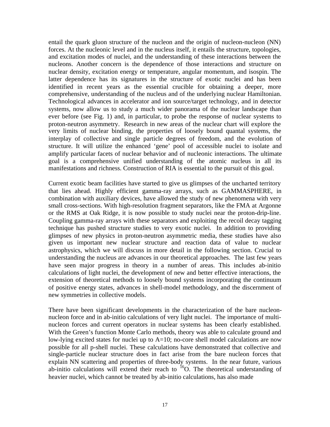entail the quark gluon structure of the nucleon and the origin of nucleon-nucleon (NN) forces. At the nucleonic level and in the nucleus itself, it entails the structure, topologies, and excitation modes of nuclei, and the understanding of these interactions between the nucleons. Another concern is the dependence of those interactions and structure on nuclear density, excitation energy or temperature, angular momentum, and isospin. The latter dependence has its signatures in the structure of exotic nuclei and has been identified in recent years as the essential crucible for obtaining a deeper, more comprehensive, understanding of the nucleus and of the underlying nuclear Hamiltonian. Technological advances in accelerator and ion source/target technology, and in detector systems, now allow us to study a much wider panorama of the nuclear landscape than ever before (see Fig. 1) and, in particular, to probe the response of nuclear systems to proton-neutron asymmetry. Research in new areas of the nuclear chart will explore the very limits of nuclear binding, the properties of loosely bound quantal systems, the interplay of collective and single particle degrees of freedom, and the evolution of structure. It will utilize the enhanced 'gene' pool of accessible nuclei to isolate and amplify particular facets of nuclear behavior and of nucleonic interactions. The ultimate goal is a comprehensive unified understanding of the atomic nucleus in all its manifestations and richness. Construction of RIA is essential to the pursuit of this goal.

Current exotic beam facilities have started to give us glimpses of the uncharted territory that lies ahead. Highly efficient gamma-ray arrays, such as GAMMASPHERE, in combination with auxiliary devices, have allowed the study of new phenomena with very small cross-sections. With high-resolution fragment separators, like the FMA at Argonne or the RMS at Oak Ridge, it is now possible to study nuclei near the proton-drip-line. Coupling gamma-ray arrays with these separators and exploiting the recoil decay tagging technique has pushed structure studies to very exotic nuclei. In addition to providing glimpses of new physics in proton-neutron asymmetric media, these studies have also given us important new nuclear structure and reaction data of value to nuclear astrophysics, which we will discuss in more detail in the following section. Crucial to understanding the nucleus are advances in our theoretical approaches. The last few years have seen major progress in theory in a number of areas. This includes ab-initio calculations of light nuclei, the development of new and better effective interactions, the extension of theoretical methods to loosely bound systems incorporating the continuum of positive energy states, advances in shell-model methodology, and the discernment of new symmetries in collective models.

There have been significant developments in the characterization of the bare nucleonnucleon force and in ab-initio calculations of very light nuclei. The importance of multinucleon forces and current operators in nuclear systems has been clearly established. With the Green's function Monte Carlo methods, theory was able to calculate ground and low-lying excited states for nuclei up to  $A=10$ ; no-core shell model calculations are now possible for all p-shell nuclei. These calculations have demonstrated that collective and single-particle nuclear structure does in fact arise from the bare nucleon forces that explain NN scattering and properties of three-body systems. In the near future, various ab-initio calculations will extend their reach to  $^{16}$ O. The theoretical understanding of heavier nuclei, which cannot be treated by ab-initio calculations, has also made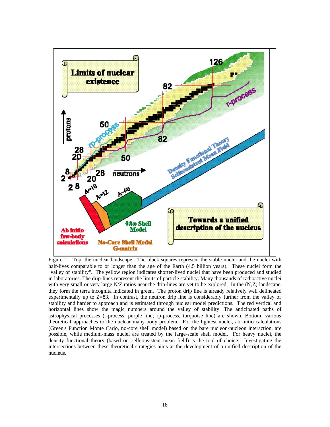

Figure 1: Top: the nuclear landscape. The black squares represent the stable nuclei and the nuclei with half-lives comparable to or longer than the age of the Earth (4.5 billion years). These nuclei form the "valley of stability". The yellow region indicates shorter-lived nuclei that have been produced and studied in laboratories. The drip-lines represent the limits of particle stability. Many thousands of radioactive nuclei with very small or very large N/Z ratios near the drip-lines are yet to be explored. In the (N,Z) landscape, they form the terra incognita indicated in green. The proton drip line is already relatively well delineated experimentally up to Z=83. In contrast, the neutron drip line is considerably further from the valley of stability and harder to approach and is estimated through nuclear model predictions. The red vertical and horizontal lines show the magic numbers around the valley of stability. The anticipated paths of astrophysical processes (r-process, purple line; rp-process, turquoise line) are shown. Bottom: various theoretical approaches to the nuclear many-body problem. For the lightest nuclei, ab initio calculations (Green's Function Monte Carlo, no-core shell model) based on the bare nucleon-nucleon interaction, are possible, while medium-mass nuclei are treated by the large-scale shell model. For heavy nuclei, the density functional theory (based on selfconsistent mean field) is the tool of choice. Investigating the intersections between these theoretical strategies aims at the development of a unified description of the nucleus.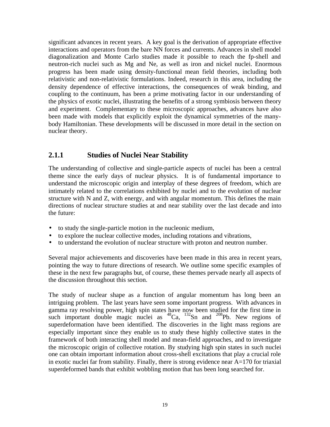significant advances in recent years. A key goal is the derivation of appropriate effective interactions and operators from the bare NN forces and currents. Advances in shell model diagonalization and Monte Carlo studies made it possible to reach the fp-shell and neutron-rich nuclei such as Mg and Ne, as well as iron and nickel nuclei. Enormous progress has been made using density-functional mean field theories, including both relativistic and non-relativistic formulations. Indeed, research in this area, including the density dependence of effective interactions, the consequences of weak binding, and coupling to the continuum, has been a prime motivating factor in our understanding of the physics of exotic nuclei, illustrating the benefits of a strong symbiosis between theory and experiment. Complementary to these microscopic approaches, advances have also been made with models that explicitly exploit the dynamical symmetries of the manybody Hamiltonian. These developments will be discussed in more detail in the section on nuclear theory.

# **2.1.1 Studies of Nuclei Near Stability**

The understanding of collective and single-particle aspects of nuclei has been a central theme since the early days of nuclear physics. It is of fundamental importance to understand the microscopic origin and interplay of these degrees of freedom, which are intimately related to the correlations exhibited by nuclei and to the evolution of nuclear structure with N and Z, with energy, and with angular momentum. This defines the main directions of nuclear structure studies at and near stability over the last decade and into the future:

- to study the single-particle motion in the nucleonic medium,
- to explore the nuclear collective modes, including rotations and vibrations,
- to understand the evolution of nuclear structure with proton and neutron number.

Several major achievements and discoveries have been made in this area in recent years, pointing the way to future directions of research. We outline some specific examples of these in the next few paragraphs but, of course, these themes pervade nearly all aspects of the discussion throughout this section.

The study of nuclear shape as a function of angular momentum has long been an intriguing problem. The last years have seen some important progress. With advances in gamma ray resolving power, high spin states have now been studied for the first time in summa by resorting power, ingu spin states have now been statict for the first time in<br>such important double magic nuclei as  ${}^{48}Ca$ ,  ${}^{132}Sn$  and  ${}^{208}Pb$ . New regions of superdeformation have been identified. The discoveries in the light mass regions are especially important since they enable us to study these highly collective states in the framework of both interacting shell model and mean-field approaches, and to investigate the microscopic origin of collective rotation. By studying high spin states in such nuclei one can obtain important information about cross-shell excitations that play a crucial role in exotic nuclei far from stability. Finally, there is strong evidence near A=170 for triaxial superdeformed bands that exhibit wobbling motion that has been long searched for.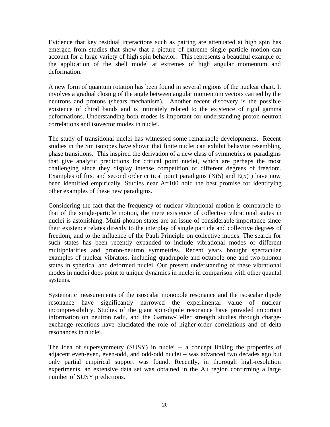Evidence that key residual interactions such as pairing are attenuated at high spin has emerged from studies that show that a picture of extreme single particle motion can account for a large variety of high spin behavior. This represents a beautiful example of the application of the shell model at extremes of high angular momentum and deformation.

A new form of quantum rotation has been found in several regions of the nuclear chart. It involves a gradual closing of the angle between angular momentum vectors carried by the neutrons and protons (shears mechanism). Another recent discovery is the possible existence of chiral bands and is intimately related to the existence of rigid gamma deformations. Understanding both modes is important for understanding proton-neutron correlations and isovector modes in nuclei.

The study of transitional nuclei has witnessed some remarkable developments. Recent studies in the Sm isotopes have shown that finite nuclei can exhibit behavior resembling phase transitions. This inspired the derivation of a new class of symmetries or paradigms that give analytic predictions for critical point nuclei, which are perhaps the most challenging since they display intense competition of different degrees of freedom. Examples of first and second order critical point paradigms  $(X(5)$  and  $E(5)$ ) have now been identified empirically. Studies near A=100 hold the best promise for identifying other examples of these new paradigms.

Considering the fact that the frequency of nuclear vibrational motion is comparable to that of the single-particle motion, the mere existence of collective vibrational states in nuclei is astonishing. Multi-phonon states are an issue of considerable importance since their existence relates directly to the interplay of single particle and collective degrees of freedom, and to the influence of the Pauli Principle on collective modes. The search for such states has been recently expanded to include vibrational modes of different multipolarities and proton-neutron symmetries. Recent years brought spectacular examples of nuclear vibrators, including quadrupole and octupole one and two-phonon states in spherical and deformed nuclei. Our present understanding of these vibrational modes in nuclei does point to unique dynamics in nuclei in comparison with other quantal systems.

Systematic measurements of the isoscalar monopole resonance and the isoscalar dipole resonance have significantly narrowed the experimental value of nuclear incompressibility. Studies of the giant spin-dipole resonance have provided important information on neutron radii, and the Gamow-Teller strength studies through chargeexchange reactions have elucidated the role of higher-order correlations and of delta resonances in nuclei.

The idea of supersymmetry (SUSY) in nuclei -- a concept linking the properties of adjacent even-even, even-odd, and odd-odd nuclei – was advanced two decades ago but only partial empirical support was found. Recently, in thorough high-resolution experiments, an extensive data set was obtained in the Au region confirming a large number of SUSY predictions.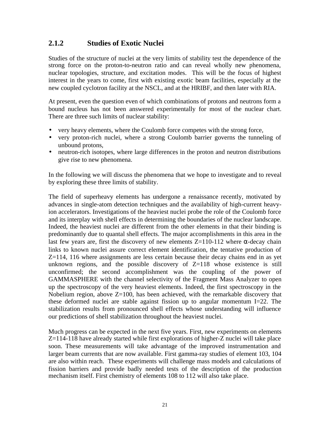# **2.1.2 Studies of Exotic Nuclei**

Studies of the structure of nuclei at the very limits of stability test the dependence of the strong force on the proton-to-neutron ratio and can reveal wholly new phenomena, nuclear topologies, structure, and excitation modes. This will be the focus of highest interest in the years to come, first with existing exotic beam facilities, especially at the new coupled cyclotron facility at the NSCL, and at the HRIBF, and then later with RIA.

At present, even the question even of which combinations of protons and neutrons form a bound nucleus has not been answered experimentally for most of the nuclear chart. There are three such limits of nuclear stability:

- very heavy elements, where the Coulomb force competes with the strong force,
- very proton-rich nuclei, where a strong Coulomb barrier governs the tunneling of unbound protons,
- neutron-rich isotopes, where large differences in the proton and neutron distributions give rise to new phenomena.

In the following we will discuss the phenomena that we hope to investigate and to reveal by exploring these three limits of stability.

The field of superheavy elements has undergone a renaissance recently, motivated by advances in single-atom detection techniques and the availability of high-current heavyion accelerators. Investigations of the heaviest nuclei probe the role of the Coulomb force and its interplay with shell effects in determining the boundaries of the nuclear landscape. Indeed, the heaviest nuclei are different from the other elements in that their binding is predominantly due to quantal shell effects. The major accomplishments in this area in the last few years are, first the discovery of new elements  $Z=110-112$  where α-decay chain links to known nuclei assure correct element identification, the tentative production of  $Z=114$ , 116 where assignments are less certain because their decay chains end in as yet unknown regions, and the possible discovery of  $Z=118$  whose existence is still unconfirmed; the second accomplishment was the coupling of the power of GAMMASPHERE with the channel selectivity of the Fragment Mass Analyzer to open up the spectroscopy of the very heaviest elements. Indeed, the first spectroscopy in the Nobelium region, above  $Z=100$ , has been achieved, with the remarkable discovery that these deformed nuclei are stable against fission up to angular momentum I=22. The stabilization results from pronounced shell effects whose understanding will influence our predictions of shell stabilization throughout the heaviest nuclei.

Much progress can be expected in the next five years. First, new experiments on elements Z=114-118 have already started while first explorations of higher-Z nuclei will take place soon. These measurements will take advantage of the improved instrumentation and larger beam currents that are now available. First gamma-ray studies of element 103, 104 are also within reach. These experiments will challenge mass models and calculations of fission barriers and provide badly needed tests of the description of the production mechanism itself. First chemistry of elements 108 to 112 will also take place.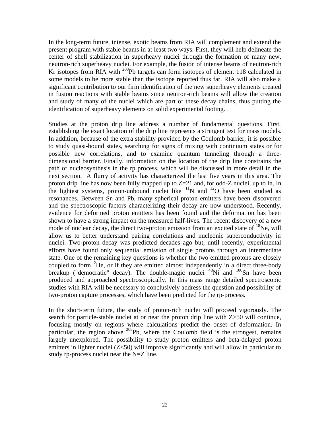In the long-term future, intense, exotic beams from RIA will complement and extend the present program with stable beams in at least two ways. First, they will help delineate the center of shell stabilization in superheavy nuclei through the formation of many new, neutron-rich superheavy nuclei. For example, the fusion of intense beams of neutron-rich Kr isotopes from RIA with <sup>208</sup>Pb targets can form isotopes of element 118 calculated in some models to be more stable than the isotope reported thus far. RIA will also make a significant contribution to our firm identification of the new superheavy elements created in fusion reactions with stable beams since neutron-rich beams will allow the creation and study of many of the nuclei which are part of these decay chains, thus putting the identification of superheavy elements on solid experimental footing.

Studies at the proton drip line address a number of fundamental questions. First, establishing the exact location of the drip line represents a stringent test for mass models. In addition, because of the extra stability provided by the Coulomb barrier, it is possible to study quasi-bound states, searching for signs of mixing with continuum states or for possible new correlations, and to examine quantum tunneling through a threedimensional barrier. Finally, information on the location of the drip line constrains the path of nucleosynthesis in the rp process, which will be discussed in more detail in the next section. A flurry of activity has characterized the last five years in this area. The proton drip line has now been fully mapped up to Z=21 and, for odd-Z nuclei, up to In. In the lightest systems, proton-unbound nuclei like  $^{11}N$  and  $^{12}O$  have been studied as resonances. Between Sn and Pb, many spherical proton emitters have been discovered and the spectroscopic factors characterizing their decay are now understood. Recently, evidence for deformed proton emitters has been found and the deformation has been shown to have a strong impact on the measured half-lives. The recent discovery of a new mode of nuclear decay, the direct two-proton emission from an excited state of  $^{18}$ Ne, will allow us to better understand pairing correlations and nucleonic superconductivity in nuclei. Two-proton decay was predicted decades ago but, until recently, experimental efforts have found only sequential emission of single protons through an intermediate state. One of the remaining key questions is whether the two emitted protons are closely coupled to form  ${}^{2}$ He, or if they are emitted almost independently in a direct three-body breakup ("democratic" decay). The double-magic nuclei  $^{48}$ Ni and  $^{100}$ Sn have been produced and approached spectroscopically. In this mass range detailed spectroscopic studies with RIA will be necessary to conclusively address the question and possibility of two-proton capture processes, which have been predicted for the rp-process.

In the short-term future, the study of proton-rich nuclei will proceed vigorously. The search for particle-stable nuclei at or near the proton drip line with Z>50 will continue, focusing mostly on regions where calculations predict the onset of deformation. In particular, the region above  $^{208}$ Pb, where the Coulomb field is the strongest, remains largely unexplored. The possibility to study proton emitters and beta-delayed proton emitters in lighter nuclei (Z<50) will improve significantly and will allow in particular to study rp-process nuclei near the N=Z line.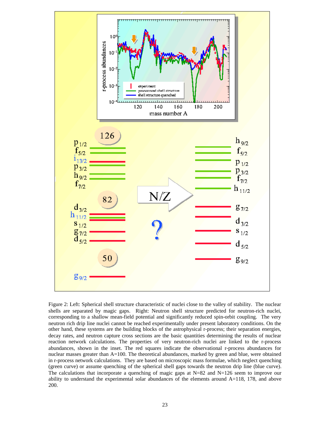

Figure 2: Left: Spherical shell structure characteristic of nuclei close to the valley of stability. The nuclear shells are separated by magic gaps. Right: Neutron shell structure predicted for neutron-rich nuclei, corresponding to a shallow mean-field potential and significantly reduced spin-orbit coupling. The very neutron rich drip line nuclei cannot be reached experimentally under present laboratory conditions. On the other hand, these systems are the building blocks of the astrophysical r-process; their separation energies, decay rates, and neutron capture cross sections are the basic quantities determining the results of nuclear reaction network calculations. The properties of very neutron-rich nuclei are linked to the r-process abundances, shown in the inset. The red squares indicate the observational r-process abundances for nuclear masses greater than A=100. The theoretical abundances, marked by green and blue, were obtained in r-process network calculations. They are based on microscopic mass formulae, which neglect quenching (green curve) or assume quenching of the spherical shell gaps towards the neutron drip line (blue curve). The calculations that incorporate a quenching of magic gaps at  $N=82$  and  $N=126$  seem to improve our ability to understand the experimental solar abundances of the elements around A=118, 178, and above 200.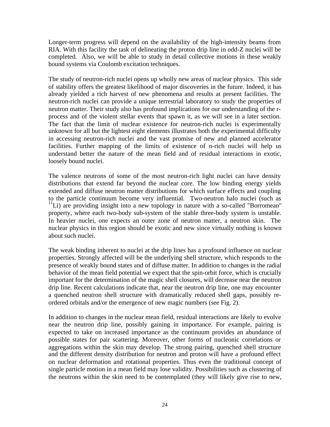Longer-term progress will depend on the availability of the high-intensity beams from RIA. With this facility the task of delineating the proton drip line in odd-Z nuclei will be completed. Also, we will be able to study in detail collective motions in these weakly bound systems via Coulomb excitation techniques.

The study of neutron-rich nuclei opens up wholly new areas of nuclear physics. This side of stability offers the greatest likelihood of major discoveries in the future. Indeed, it has already yielded a rich harvest of new phenomena and results at present facilities. The neutron-rich nuclei can provide a unique terrestrial laboratory to study the properties of neutron matter. Their study also has profound implications for our understanding of the rprocess and of the violent stellar events that spawn it, as we will see in a later section. The fact that the limit of nuclear existence for neutron-rich nuclei is experimentally unknown for all but the lightest eight elements illustrates both the experimental difficulty in accessing neutron-rich nuclei and the vast promise of new and planned accelerator facilities. Further mapping of the limits of existence of n-rich nuclei will help us understand better the nature of the mean field and of residual interactions in exotic, loosely bound nuclei.

The valence neutrons of some of the most neutron-rich light nuclei can have density distributions that extend far beyond the nuclear core. The low binding energy yields extended and diffuse neutron matter distributions for which surface effects and coupling to the particle continuum become very influential. Two-neutron halo nuclei (such as  $11$ Li) are providing insight into a new topology in nature with a so-called "Borromean" property, where each two-body sub-system of the stable three-body system is unstable. In heavier nuclei, one expects an outer zone of neutron matter, a neutron skin. The nuclear physics in this region should be exotic and new since virtually nothing is known about such nuclei.

The weak binding inherent to nuclei at the drip lines has a profound influence on nuclear properties. Strongly affected will be the underlying shell structure, which responds to the presence of weakly bound states and of diffuse matter. In addition to changes in the radial behavior of the mean field potential we expect that the spin-orbit force, which is crucially important for the determination of the magic shell closures, will decrease near the neutron drip line. Recent calculations indicate that, near the neutron drip line, one may encounter a quenched neutron shell structure with dramatically reduced shell gaps, possibly reordered orbitals and/or the emergence of new magic numbers (see Fig. 2).

In addition to changes in the nuclear mean field, residual interactions are likely to evolve near the neutron drip line, possibly gaining in importance. For example, pairing is expected to take on increased importance as the continuum provides an abundance of possible states for pair scattering. Moreover, other forms of nucleonic correlations or aggregations within the skin may develop. The strong pairing, quenched shell structure and the different density distribution for neutron and proton will have a profound effect on nuclear deformation and rotational properties. Thus even the traditional concept of single particle motion in a mean field may lose validity. Possibilities such as clustering of the neutrons within the skin need to be contemplated (they will likely give rise to new,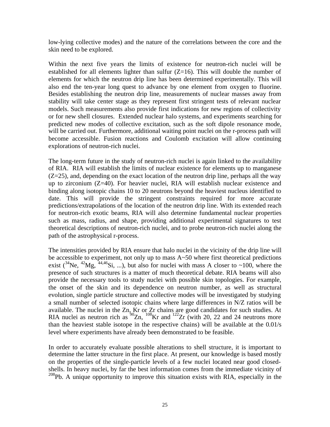low-lying collective modes) and the nature of the correlations between the core and the skin need to be explored.

Within the next five years the limits of existence for neutron-rich nuclei will be established for all elements lighter than sulfur  $(Z=16)$ . This will double the number of elements for which the neutron drip line has been determined experimentally. This will also end the ten-year long quest to advance by one element from oxygen to fluorine. Besides establishing the neutron drip line, measurements of nuclear masses away from stability will take center stage as they represent first stringent tests of relevant nuclear models. Such measurements also provide first indications for new regions of collectivity or for new shell closures. Extended nuclear halo systems, and experiments searching for predicted new modes of collective excitation, such as the soft dipole resonance mode, will be carried out. Furthermore, additional waiting point nuclei on the r-process path will become accessible. Fusion reactions and Coulomb excitation will allow continuing explorations of neutron-rich nuclei.

The long-term future in the study of neutron-rich nuclei is again linked to the availability of RIA. RIA will establish the limits of nuclear existence for elements up to manganese  $(Z=25)$ , and, depending on the exact location of the neutron drip line, perhaps all the way up to zirconium (Z=40). For heavier nuclei, RIA will establish nuclear existence and binding along isotopic chains 10 to 20 neutrons beyond the heaviest nucleus identified to date. This will provide the stringent constraints required for more accurate predictions/extrapolations of the location of the neutron drip line. With its extended reach for neutron-rich exotic beams, RIA will also determine fundamental nuclear properties such as mass, radius, and shape, providing additional experimental signatures to test theoretical descriptions of neutron-rich nuclei, and to probe neutron-rich nuclei along the path of the astrophysical r-process.

The intensities provided by RIA ensure that halo nuclei in the vicinity of the drip line will be accessible to experiment, not only up to mass A~50 where first theoretical predictions exist  $\binom{34}{18}$ ,  $\binom{42}{18}$ ,  $\binom{44,46}{18}$ , ...), but also for nuclei with mass A closer to ~100, where the presence of such structures is a matter of much theoretical debate. RIA beams will also provide the necessary tools to study nuclei with possible skin topologies. For example, the onset of the skin and its dependence on neutron number, as well as structural evolution, single particle structure and collective modes will be investigated by studying a small number of selected isotopic chains where large differences in N/Z ratios will be available. The nuclei in the Zn, Kr or Zr chains are good candidates for such studies. At RIA nuclei as neutron rich as  ${}^{90}Zn$ ,  ${}^{108}Kr$  and  ${}^{122}Zr$  (with 20, 22 and 24 neutrons more than the heaviest stable isotope in the respective chains) will be available at the 0.01/s level where experiments have already been demonstrated to be feasible.

In order to accurately evaluate possible alterations to shell structure, it is important to determine the latter structure in the first place. At present, our knowledge is based mostly on the properties of the single-particle levels of a few nuclei located near good closedshells. In heavy nuclei, by far the best information comes from the immediate vicinity of  $208Pb$ . A unique opportunity to improve this situation exists with RIA, especially in the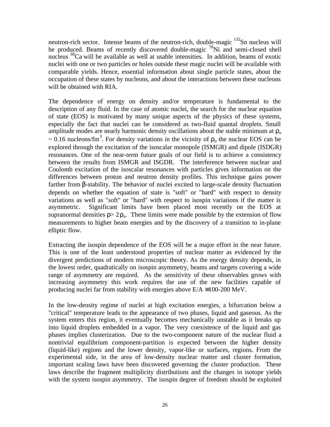neutron-rich sector. Intense beams of the neutron-rich, double-magic  $^{132}$ Sn nucleus will be produced. Beams of recently discovered double-magic  $^{78}$ Ni and semi-closed shell nucleus  $^{60}$ Ca will be available as well at usable intensities. In addition, beams of exotic nuclei with one or two particles or holes outside these magic nuclei will be available with comparable yields. Hence, essential information about single particle states, about the occupation of these states by nucleons, and about the interactions between these nucleons will be obtained with RIA.

The dependence of energy on density and/or temperature is fundamental to the description of any fluid. In the case of atomic nuclei, the search for the nuclear equation of state (EOS) is motivated by many unique aspects of the physics of these systems, especially the fact that nuclei can be considered as two-fluid quantal droplets. Small amplitude modes are nearly harmonic density oscillations about the stable minimum at  $\rho_0$  $\sim 0.16$  nucleons/fm<sup>3</sup>. For density variations in the vicinity of  $\rho_0$  the nuclear EOS can be explored through the excitation of the isoscalar monopole (ISMGR) and dipole (ISDGR) resonances. One of the near-term future goals of our field is to achieve a consistency between the results from ISMGR and ISGDR. The interference between nuclear and Coulomb excitation of the isoscalar resonances with particles gives information on the differences between proton and neutron density profiles. This technique gains power farther from β-stability. The behavior of nuclei excited to large-scale density fluctuation depends on whether the equation of state is "soft" or "hard" with respect to density variations as well as "soft" or "hard" with respect to isospin variations if the matter is asymmetric. Significant limits have been placed most recently on the EOS at supranormal densities  $\rho > 2\rho_0$ . These limits were made possible by the extension of flow measurements to higher beam energies and by the discovery of a transition to in-plane elliptic flow.

Extracting the isospin dependence of the EOS will be a major effort in the near future. This is one of the least understood properties of nuclear matter as evidenced by the divergent predictions of modern microscopic theory. As the energy density depends, in the lowest order, quadratically on isospin asymmetry, beams and targets covering a wide range of asymmetry are required. As the sensitivity of these observables grows with increasing asymmetry this work requires the use of the new facilities capable of producing nuclei far from stability with energies above  $E/A \equiv 100{\text -}200 \text{ MeV}$ .

In the low-density regime of nuclei at high excitation energies, a bifurcation below a "critical" temperature leads to the appearance of two phases, liquid and gaseous. As the system enters this region, it eventually becomes mechanically unstable as it breaks up into liquid droplets embedded in a vapor. The very coexistence of the liquid and gas phases implies clusterization. Due to the two-component nature of the nuclear fluid a nontrivial equilibrium component-partition is expected between the higher density (liquid-like) regions and the lower density, vapor-like or surfaces, regions. From the experimental side, in the area of low-density nuclear matter and cluster formation, important scaling laws have been discovered governing the cluster production. These laws describe the fragment multiplicity distributions and the changes in isotope yields with the system isospin asymmetry. The isospin degree of freedom should be exploited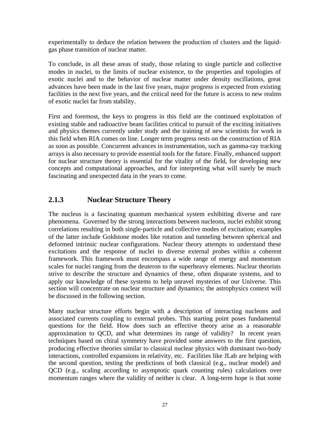experimentally to deduce the relation between the production of clusters and the liquidgas phase transition of nuclear matter.

To conclude, in all these areas of study, those relating to single particle and collective modes in nuclei, to the limits of nuclear existence, to the properties and topologies of exotic nuclei and to the behavior of nuclear matter under density oscillations, great advances have been made in the last five years, major progress is expected from existing facilities in the next five years, and the critical need for the future is access to new realms of exotic nuclei far from stability.

First and foremost, the keys to progress in this field are the continued exploitation of existing stable and radioactive beam facilities critical to pursuit of the exciting initiatives and physics themes currently under study and the training of new scientists for work in this field when RIA comes on line. Longer term progress rests on the construction of RIA as soon as possible. Concurrent advances in instrumentation, such as gamma-ray tracking arrays is also necessary to provide essential tools for the future. Finally, enhanced support for nuclear structure theory is essential for the vitality of the field, for developing new concepts and computational approaches, and for interpreting what will surely be much fascinating and unexpected data in the years to come.

# **2.1.3 Nuclear Structure Theory**

The nucleus is a fascinating quantum mechanical system exhibiting diverse and rare phenomena. Governed by the strong interactions between nucleons, nuclei exhibit strong correlations resulting in both single-particle and collective modes of excitation; examples of the latter include Goldstone modes like rotation and tunneling between spherical and deformed intrinsic nuclear configurations. Nuclear theory attempts to understand these excitations and the response of nuclei to diverse external probes within a coherent framework. This framework must encompass a wide range of energy and momentum scales for nuclei ranging from the deuteron to the superheavy elements. Nuclear theorists strive to describe the structure and dynamics of these, often disparate systems, and to apply our knowledge of these systems to help unravel mysteries of our Universe. This section will concentrate on nuclear structure and dynamics; the astrophysics context will be discussed in the following section.

Many nuclear structure efforts begin with a description of interacting nucleons and associated currents coupling to external probes. This starting point poses fundamental questions for the field. How does such an effective theory arise as a reasonable approximation to QCD, and what determines its range of validity? In recent years techniques based on chiral symmetry have provided some answers to the first question, producing effective theories similar to classical nuclear physics with dominant two-body interactions, controlled expansions in relativity, etc. Facilities like JLab are helping with the second question, testing the predictions of both classical (e.g., nuclear model) and QCD (e.g., scaling according to asymptotic quark counting rules) calculations over momentum ranges where the validity of neither is clear. A long-term hope is that some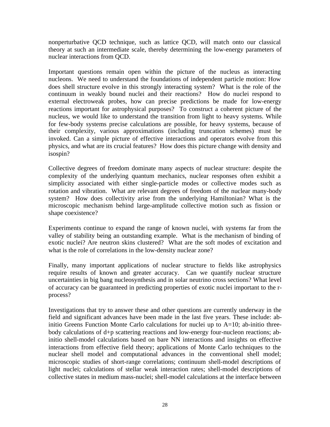nonperturbative QCD technique, such as lattice QCD, will match onto our classical theory at such an intermediate scale, thereby determining the low-energy parameters of nuclear interactions from QCD.

Important questions remain open within the picture of the nucleus as interacting nucleons. We need to understand the foundations of independent particle motion: How does shell structure evolve in this strongly interacting system? What is the role of the continuum in weakly bound nuclei and their reactions? How do nuclei respond to external electroweak probes, how can precise predictions be made for low-energy reactions important for astrophysical purposes? To construct a coherent picture of the nucleus, we would like to understand the transition from light to heavy systems. While for few-body systems precise calculations are possible, for heavy systems, because of their complexity, various approximations (including truncation schemes) must be invoked. Can a simple picture of effective interactions and operators evolve from this physics, and what are its crucial features? How does this picture change with density and isospin?

Collective degrees of freedom dominate many aspects of nuclear structure: despite the complexity of the underlying quantum mechanics, nuclear responses often exhibit a simplicity associated with either single-particle modes or collective modes such as rotation and vibration. What are relevant degrees of freedom of the nuclear many-body system? How does collectivity arise from the underlying Hamiltonian? What is the microscopic mechanism behind large-amplitude collective motion such as fission or shape coexistence?

Experiments continue to expand the range of known nuclei, with systems far from the valley of stability being an outstanding example. What is the mechanism of binding of exotic nuclei? Are neutron skins clustered? What are the soft modes of excitation and what is the role of correlations in the low-density nuclear zone?

Finally, many important applications of nuclear structure to fields like astrophysics require results of known and greater accuracy. Can we quantify nuclear structure uncertainties in big bang nucleosynthesis and in solar neutrino cross sections? What level of accuracy can be guaranteed in predicting properties of exotic nuclei important to the rprocess?

Investigations that try to answer these and other questions are currently underway in the field and significant advances have been made in the last five years. These include: abinitio Greens Function Monte Carlo calculations for nuclei up to  $A=10$ ; ab-initio threebody calculations of d+p scattering reactions and low-energy four-nucleon reactions; abinitio shell-model calculations based on bare NN interactions and insights on effective interactions from effective field theory; applications of Monte Carlo techniques to the nuclear shell model and computational advances in the conventional shell model; microscopic studies of short-range correlations; continuum shell-model descriptions of light nuclei; calculations of stellar weak interaction rates; shell-model descriptions of collective states in medium mass-nuclei; shell-model calculations at the interface between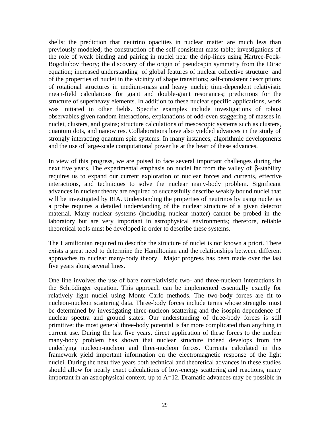shells; the prediction that neutrino opacities in nuclear matter are much less than previously modeled; the construction of the self-consistent mass table; investigations of the role of weak binding and pairing in nuclei near the drip-lines using Hartree-Fock-Bogoliubov theory; the discovery of the origin of pseudospin symmetry from the Dirac equation; increased understanding of global features of nuclear collective structure and of the properties of nuclei in the vicinity of shape transitions; self-consistent descriptions of rotational structures in medium-mass and heavy nuclei; time-dependent relativistic mean-field calculations for giant and double-giant resonances; predictions for the structure of superheavy elements. In addition to these nuclear specific applications, work was initiated in other fields. Specific examples include investigations of robust observables given random interactions, explanations of odd-even staggering of masses in nuclei, clusters, and grains; structure calculations of mesoscopic systems such as clusters, quantum dots, and nanowires. Collaborations have also yielded advances in the study of strongly interacting quantum spin systems. In many instances, algorithmic developments and the use of large-scale computational power lie at the heart of these advances.

In view of this progress, we are poised to face several important challenges during the next five years. The experimental emphasis on nuclei far from the valley of β-stability requires us to expand our current exploration of nuclear forces and currents, effective interactions, and techniques to solve the nuclear many-body problem. Significant advances in nuclear theory are required to successfully describe weakly bound nuclei that will be investigated by RIA. Understanding the properties of neutrinos by using nuclei as a probe requires a detailed understanding of the nuclear structure of a given detector material. Many nuclear systems (including nuclear matter) cannot be probed in the laboratory but are very important in astrophysical environments; therefore, reliable theoretical tools must be developed in order to describe these systems.

The Hamiltonian required to describe the structure of nuclei is not known a priori. There exists a great need to determine the Hamiltonian and the relationships between different approaches to nuclear many-body theory. Major progress has been made over the last five years along several lines.

One line involves the use of bare nonrelativistic two- and three-nucleon interactions in the Schrödinger equation. This approach can be implemented essentially exactly for relatively light nuclei using Monte Carlo methods. The two-body forces are fit to nucleon-nucleon scattering data. Three-body forces include terms whose strengths must be determined by investigating three-nucleon scattering and the isospin dependence of nuclear spectra and ground states. Our understanding of three-body forces is still primitive: the most general three-body potential is far more complicated than anything in current use. During the last five years, direct application of these forces to the nuclear many-body problem has shown that nuclear structure indeed develops from the underlying nucleon-nucleon and three-nucleon forces. Currents calculated in this framework yield important information on the electromagnetic response of the light nuclei. During the next five years both technical and theoretical advances in these studies should allow for nearly exact calculations of low-energy scattering and reactions, many important in an astrophysical context, up to  $A=12$ . Dramatic advances may be possible in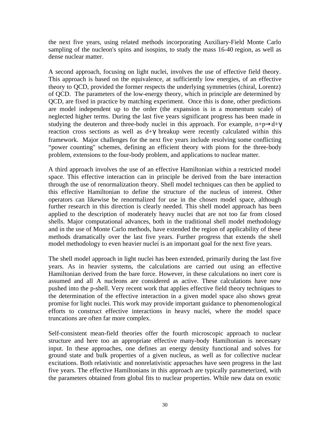the next five years, using related methods incorporating Auxiliary-Field Monte Carlo sampling of the nucleon's spins and isospins, to study the mass 16-40 region, as well as dense nuclear matter.

A second approach, focusing on light nuclei, involves the use of effective field theory. This approach is based on the equivalence, at sufficiently low energies, of an effective theory to QCD, provided the former respects the underlying symmetries (chiral, Lorentz) of QCD. The parameters of the low-energy theory, which in principle are determined by QCD, are fixed in practice by matching experiment. Once this is done, other predictions are model independent up to the order (the expansion is in a momentum scale) of neglected higher terms. During the last five years significant progress has been made in studying the deuteron and three-body nuclei in this approach. For example,  $n+p\rightarrow d+\gamma$ reaction cross sections as well as  $d+\gamma$  breakup were recently calculated within this framework. Major challenges for the next five years include resolving some conflicting "power counting'' schemes, defining an efficient theory with pions for the three-body problem, extensions to the four-body problem, and applications to nuclear matter.

A third approach involves the use of an effective Hamiltonian within a restricted model space. This effective interaction can in principle be derived from the bare interaction through the use of renormalization theory. Shell model techniques can then be applied to this effective Hamiltonian to define the structure of the nucleus of interest. Other operators can likewise be renormalized for use in the chosen model space, although further research in this direction is clearly needed. This shell model approach has been applied to the description of moderately heavy nuclei that are not too far from closed shells. Major computational advances, both in the traditional shell model methodology and in the use of Monte Carlo methods, have extended the region of applicability of these methods dramatically over the last five years. Further progress that extends the shell model methodology to even heavier nuclei is an important goal for the next five years.

The shell model approach in light nuclei has been extended, primarily during the last five years. As in heavier systems, the calculations are carried out using an effective Hamiltonian derived from the bare force. However, in these calculations no inert core is assumed and all A nucleons are considered as active. These calculations have now pushed into the p-shell. Very recent work that applies effective field theory techniques to the determination of the effective interaction in a given model space also shows great promise for light nuclei. This work may provide important guidance to phenomenological efforts to construct effective interactions in heavy nuclei, where the model space truncations are often far more complex.

Self-consistent mean-field theories offer the fourth microscopic approach to nuclear structure and here too an appropriate effective many-body Hamiltonian is necessary input. In these approaches, one defines an energy density functional and solves for ground state and bulk properties of a given nucleus, as well as for collective nuclear excitations. Both relativistic and nonrelativistic approaches have seen progress in the last five years. The effective Hamiltonians in this approach are typically parameterized, with the parameters obtained from global fits to nuclear properties. While new data on exotic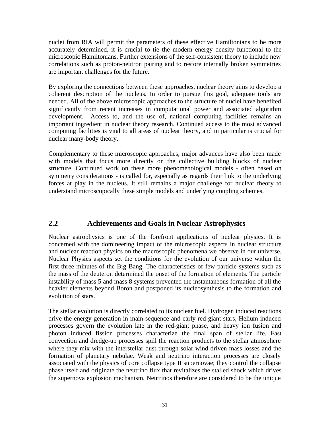nuclei from RIA will permit the parameters of these effective Hamiltonians to be more accurately determined, it is crucial to tie the modern energy density functional to the microscopic Hamiltonians. Further extensions of the self-consistent theory to include new correlations such as proton-neutron pairing and to restore internally broken symmetries are important challenges for the future.

By exploring the connections between these approaches, nuclear theory aims to develop a coherent description of the nucleus. In order to pursue this goal, adequate tools are needed. All of the above microscopic approaches to the structure of nuclei have benefited significantly from recent increases in computational power and associated algorithm development. Access to, and the use of, national computing facilities remains an important ingredient in nuclear theory research. Continued access to the most advanced computing facilities is vital to all areas of nuclear theory, and in particular is crucial for nuclear many-body theory.

Complementary to these microscopic approaches, major advances have also been made with models that focus more directly on the collective building blocks of nuclear structure. Continued work on these more phenomenological models - often based on symmetry considerations - is called for, especially as regards their link to the underlying forces at play in the nucleus. It still remains a major challenge for nuclear theory to understand microscopically these simple models and underlying coupling schemes.

# **2.2 Achievements and Goals in Nuclear Astrophysics**

Nuclear astrophysics is one of the forefront applications of nuclear physics. It is concerned with the domineering impact of the microscopic aspects in nuclear structure and nuclear reaction physics on the macroscopic phenomena we observe in our universe. Nuclear Physics aspects set the conditions for the evolution of our universe within the first three minutes of the Big Bang. The characteristics of few particle systems such as the mass of the deuteron determined the onset of the formation of elements. The particle instability of mass 5 and mass 8 systems prevented the instantaneous formation of all the heavier elements beyond Boron and postponed its nucleosynthesis to the formation and evolution of stars.

The stellar evolution is directly correlated to its nuclear fuel. Hydrogen induced reactions drive the energy generation in main-sequence and early red-giant stars, Helium induced processes govern the evolution late in the red-giant phase, and heavy ion fusion and photon induced fission processes characterize the final span of stellar life. Fast convection and dredge-up processes spill the reaction products to the stellar atmosphere where they mix with the interstellar dust through solar wind driven mass losses and the formation of planetary nebulae. Weak and neutrino interaction processes are closely associated with the physics of core collapse type II supernovae; they control the collapse phase itself and originate the neutrino flux that revitalizes the stalled shock which drives the supernova explosion mechanism. Neutrinos therefore are considered to be the unique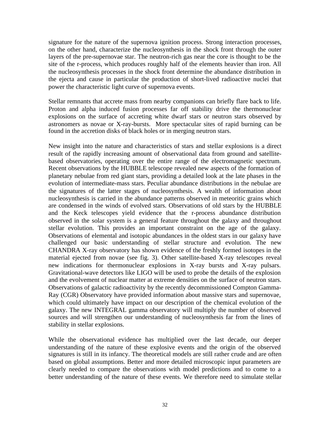signature for the nature of the supernova ignition process. Strong interaction processes, on the other hand, characterize the nucleosynthesis in the shock front through the outer layers of the pre-supernovae star. The neutron-rich gas near the core is thought to be the site of the r-process, which produces roughly half of the elements heavier than iron. All the nucleosynthesis processes in the shock front determine the abundance distribution in the ejecta and cause in particular the production of short-lived radioactive nuclei that power the characteristic light curve of supernova events.

Stellar remnants that accrete mass from nearby companions can briefly flare back to life. Proton and alpha induced fusion processes far off stability drive the thermonuclear explosions on the surface of accreting white dwarf stars or neutron stars observed by astronomers as novae or X-ray-bursts. More spectacular sites of rapid burning can be found in the accretion disks of black holes or in merging neutron stars.

New insight into the nature and characteristics of stars and stellar explosions is a direct result of the rapidly increasing amount of observational data from ground and satellitebased observatories, operating over the entire range of the electromagnetic spectrum. Recent observations by the HUBBLE telescope revealed new aspects of the formation of planetary nebulae from red giant stars, providing a detailed look at the late phases in the evolution of intermediate-mass stars. Peculiar abundance distributions in the nebulae are the signatures of the latter stages of nucleosynthesis. A wealth of information about nucleosynthesis is carried in the abundance patterns observed in meteoritic grains which are condensed in the winds of evolved stars. Observations of old stars by the HUBBLE and the Keck telescopes yield evidence that the r-process abundance distribution observed in the solar system is a general feature throughout the galaxy and throughout stellar evolution. This provides an important constraint on the age of the galaxy. Observations of elemental and isotopic abundances in the oldest stars in our galaxy have challenged our basic understanding of stellar structure and evolution. The new CHANDRA X-ray observatory has shown evidence of the freshly formed isotopes in the material ejected from novae (see fig. 3). Other satellite-based X-ray telescopes reveal new indications for thermonuclear explosions in X-ray bursts and X-ray pulsars. Gravitational-wave detectors like LIGO will be used to probe the details of the explosion and the evolvement of nuclear matter at extreme densities on the surface of neutron stars. Observations of galactic radioactivity by the recently decommissioned Compton Gamma-Ray (CGR) Observatory have provided information about massive stars and supernovae, which could ultimately have impact on our description of the chemical evolution of the galaxy. The new INTEGRAL gamma observatory will multiply the number of observed sources and will strengthen our understanding of nucleosynthesis far from the lines of stability in stellar explosions.

While the observational evidence has multiplied over the last decade, our deeper understanding of the nature of these explosive events and the origin of the observed signatures is still in its infancy. The theoretical models are still rather crude and are often based on global assumptions. Better and more detailed microscopic input parameters are clearly needed to compare the observations with model predictions and to come to a better understanding of the nature of these events. We therefore need to simulate stellar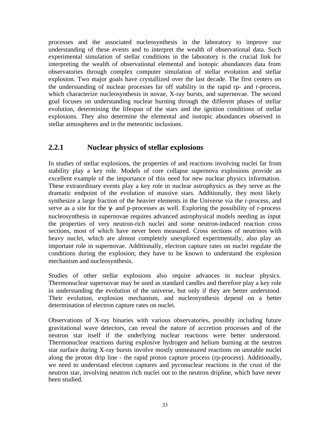processes and the associated nucleosynthesis in the laboratory to improve our understanding of these events and to interpret the wealth of observational data. Such experimental simulation of stellar conditions in the laboratory is the crucial link for interpreting the wealth of observational elemental and isotopic abundances data from observatories through complex computer simulation of stellar evolution and stellar explosion. Two major goals have crystallized over the last decade. The first centers on the understanding of nuclear processes far off stability in the rapid rp- and r-process, which characterize nucleosynthesis in novae, X-ray bursts, and supernovae. The second goal focuses on understanding nuclear burning through the different phases of stellar evolution, determining the lifespan of the stars and the ignition conditions of stellar explosions. They also determine the elemental and isotopic abundances observed in stellar atmospheres and in the meteoritic inclusions.

# **2.2.1 Nuclear physics of stellar explosions**

In studies of stellar explosions, the properties of and reactions involving nuclei far from stability play a key role. Models of core collapse supernova explosions provide an excellent example of the importance of this need for new nuclear physics information. These extraordinary events play a key role in nuclear astrophysics as they serve as the dramatic endpoint of the evolution of massive stars. Additionally, they most likely synthesize a large fraction of the heavier elements in the Universe via the r-process, and serve as a site for the γ- and p-processes as well. Exploring the possibility of r-process nucleosynthesis in supernovae requires advanced astrophysical models needing as input the properties of very neutron-rich nuclei and some neutron-induced reaction cross sections, most of which have never been measured. Cross sections of neutrinos with heavy nuclei, which are almost completely unexplored experimentally, also play an important role in supernovae. Additionally, electron capture rates on nuclei regulate the conditions during the explosion; they have to be known to understand the explosion mechanism and nucleosynthesis.

Studies of other stellar explosions also require advances in nuclear physics. Thermonuclear supernovae may be used as standard candles and therefore play a key role in understanding the evolution of the universe, but only if they are better understood. Their evolution, explosion mechanism, and nucleosynthesis depend on a better determination of electron capture rates on nuclei.

Observations of X-ray binaries with various observatories, possibly including future gravitational wave detectors, can reveal the nature of accretion processes and of the neutron star itself if the underlying nuclear reactions were better understood. Thermonuclear reactions during explosive hydrogen and helium burning at the neutron star surface during X-ray bursts involve mostly unmeasured reactions on unstable nuclei along the proton drip line - the rapid proton capture process (rp-process). Additionally, we need to understand electron captures and pyconuclear reactions in the crust of the neutron star, involving neutron rich nuclei out to the neutron dripline, which have never been studied.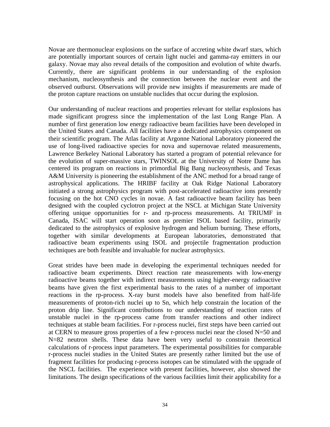Novae are thermonuclear explosions on the surface of accreting white dwarf stars, which are potentially important sources of certain light nuclei and gamma-ray emitters in our galaxy. Novae may also reveal details of the composition and evolution of white dwarfs. Currently, there are significant problems in our understanding of the explosion mechanism, nucleosynthesis and the connection between the nuclear event and the observed outburst. Observations will provide new insights if measurements are made of the proton capture reactions on unstable nuclides that occur during the explosion.

Our understanding of nuclear reactions and properties relevant for stellar explosions has made significant progress since the implementation of the last Long Range Plan. A number of first generation low energy radioactive beam facilities have been developed in the United States and Canada. All facilities have a dedicated astrophysics component on their scientific program. The Atlas facility at Argonne National Laboratory pioneered the use of long-lived radioactive species for nova and supernovae related measurements, Lawrence Berkeley National Laboratory has started a program of potential relevance for the evolution of super-massive stars, TWINSOL at the University of Notre Dame has centered its program on reactions in primordial Big Bang nucleosynthesis, and Texas A&M University is pioneering the establishment of the ANC method for a broad range of astrophysical applications. The HRIBF facility at Oak Ridge National Laboratory initiated a strong astrophysics program with post-accelerated radioactive ions presently focusing on the hot CNO cycles in novae. A fast radioactive beam facility has been designed with the coupled cyclotron project at the NSCL at Michigan State University offering unique opportunities for r- and rp-process measurements. At TRIUMF in Canada, ISAC will start operation soon as premier ISOL based facility, primarily dedicated to the astrophysics of explosive hydrogen and helium burning. These efforts, together with similar developments at European laboratories, demonstrated that radioactive beam experiments using ISOL and projectile fragmentation production techniques are both feasible and invaluable for nuclear astrophysics.

Great strides have been made in developing the experimental techniques needed for radioactive beam experiments. Direct reaction rate measurements with low-energy radioactive beams together with indirect measurements using higher-energy radioactive beams have given the first experimental basis to the rates of a number of important reactions in the rp-process. X-ray burst models have also benefited from half-life measurements of proton-rich nuclei up to Sn, which help constrain the location of the proton drip line. Significant contributions to our understanding of reaction rates of unstable nuclei in the rp-process came from transfer reactions and other indirect techniques at stable beam facilities. For r-process nuclei, first steps have been carried out at CERN to measure gross properties of a few r-process nuclei near the closed  $N=50$  and N=82 neutron shells. These data have been very useful to constrain theoretical calculations of r-process input parameters. The experimental possibilities for comparable r-process nuclei studies in the United States are presently rather limited but the use of fragment facilities for producing r-process isotopes can be stimulated with the upgrade of the NSCL facilities. The experience with present facilities, however, also showed the limitations. The design specifications of the various facilities limit their applicability for a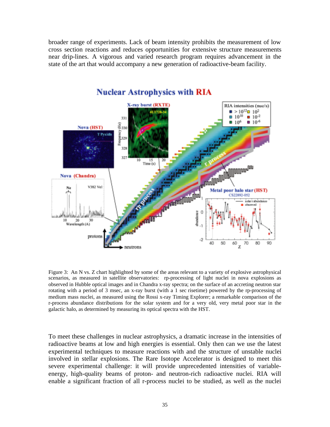broader range of experiments. Lack of beam intensity prohibits the measurement of low cross section reactions and reduces opportunities for extensive structure measurements near drip-lines. A vigorous and varied research program requires advancement in the state of the art that would accompany a new generation of radioactive-beam facility.



# **Nuclear Astrophysics with RIA**

Figure 3: An N vs. Z chart highlighted by some of the areas relevant to a variety of explosive astrophysical scenarios, as measured in satellite observatories: rp-processing of light nuclei in nova explosions as observed in Hubble optical images and in Chandra x-ray spectra; on the surface of an accreting neutron star rotating with a period of 3 msec, an x-ray burst (with a 1 sec risetime) powered by the rp-processing of medium mass nuclei, as measured using the Rossi x-ray Timing Explorer; a remarkable comparison of the r-process abundance distributions for the solar system and for a very old, very metal poor star in the galactic halo, as determined by measuring its optical spectra with the HST.

To meet these challenges in nuclear astrophysics, a dramatic increase in the intensities of radioactive beams at low and high energies is essential. Only then can we use the latest experimental techniques to measure reactions with and the structure of unstable nuclei involved in stellar explosions. The Rare Isotope Accelerator is designed to meet this severe experimental challenge: it will provide unprecedented intensities of variableenergy, high-quality beams of proton- and neutron-rich radioactive nuclei. RIA will enable a significant fraction of all r-process nuclei to be studied, as well as the nuclei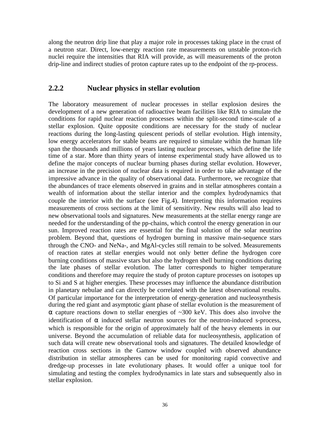along the neutron drip line that play a major role in processes taking place in the crust of a neutron star. Direct, low-energy reaction rate measurements on unstable proton-rich nuclei require the intensities that RIA will provide, as will measurements of the proton drip-line and indirect studies of proton capture rates up to the endpoint of the rp-process.

## **2.2.2 Nuclear physics in stellar evolution**

The laboratory measurement of nuclear processes in stellar explosion desires the development of a new generation of radioactive beam facilities like RIA to simulate the conditions for rapid nuclear reaction processes within the split-second time-scale of a stellar explosion. Quite opposite conditions are necessary for the study of nuclear reactions during the long-lasting quiescent periods of stellar evolution. High intensity, low energy accelerators for stable beams are required to simulate within the human life span the thousands and millions of years lasting nuclear processes, which define the life time of a star. More than thirty years of intense experimental study have allowed us to define the major concepts of nuclear burning phases during stellar evolution. However, an increase in the precision of nuclear data is required in order to take advantage of the impressive advance in the quality of observational data. Furthermore, we recognize that the abundances of trace elements observed in grains and in stellar atmospheres contain a wealth of information about the stellar interior and the complex hydrodynamics that couple the interior with the surface (see Fig.4). Interpreting this information requires measurements of cross sections at the limit of sensitivity. New results will also lead to new observational tools and signatures. New measurements at the stellar energy range are needed for the understanding of the pp-chains, which control the energy generation in our sun. Improved reaction rates are essential for the final solution of the solar neutrino problem. Beyond that, questions of hydrogen burning in massive main-sequence stars through the CNO- and NeNa-, and MgAl-cycles still remain to be solved. Measurements of reaction rates at stellar energies would not only better define the hydrogen core burning conditions of massive stars but also the hydrogen shell burning conditions during the late phases of stellar evolution. The latter corresponds to higher temperature conditions and therefore may require the study of proton capture processes on isotopes up to Si and S at higher energies. These processes may influence the abundance distribution in planetary nebulae and can directly be correlated with the latest observational results. Of particular importance for the interpretation of energy-generation and nucleosynthesis during the red giant and asymptotic giant phase of stellar evolution is the measurement of α capture reactions down to stellar energies of ~300 keV. This does also involve the identification of  $\alpha$  induced stellar neutron sources for the neutron-induced s-process, which is responsible for the origin of approximately half of the heavy elements in our universe. Beyond the accumulation of reliable data for nucleosynthesis, application of such data will create new observational tools and signatures. The detailed knowledge of reaction cross sections in the Gamow window coupled with observed abundance distribution in stellar atmospheres can be used for monitoring rapid convective and dredge-up processes in late evolutionary phases. It would offer a unique tool for simulating and testing the complex hydrodynamics in late stars and subsequently also in stellar explosion.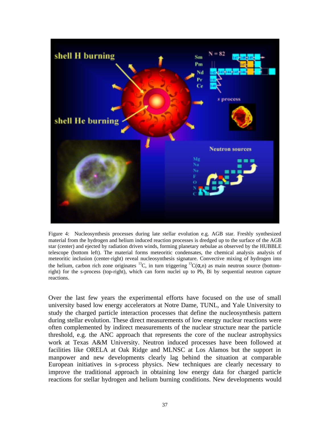

Figure 4: Nucleosynthesis processes during late stellar evolution e.g. AGB star. Freshly synthesized material from the hydrogen and helium induced reaction processes is dredged up to the surface of the AGB star (center) and ejected by radiation driven winds, forming planetary nebulae as observed by the HUBBLE telescope (bottom left). The material forms meteoritic condensates, the chemical analysis analysis of meteoritic inclusion (center-right) reveal nucleosynthesis signature. Convective mixing of hydrogen into the helium, carbon rich zone originates <sup>13</sup>C, in turn triggering <sup>13</sup>C( $\alpha$ ,n) as main neutron source (bottomright) for the s-process (top-right), which can form nuclei up to Pb, Bi by sequential neutron capture reactions.

Over the last few years the experimental efforts have focused on the use of small university based low energy accelerators at Notre Dame, TUNL, and Yale University to study the charged particle interaction processes that define the nucleosynthesis pattern during stellar evolution. These direct measurements of low energy nuclear reactions were often complemented by indirect measurements of the nuclear structure near the particle threshold, e.g. the ANC approach that represents the core of the nuclear astrophysics work at Texas A&M University. Neutron induced processes have been followed at facilities like ORELA at Oak Ridge and MLNSC at Los Alamos but the support in manpower and new developments clearly lag behind the situation at comparable European initiatives in s-process physics. New techniques are clearly necessary to improve the traditional approach in obtaining low energy data for charged particle reactions for stellar hydrogen and helium burning conditions. New developments would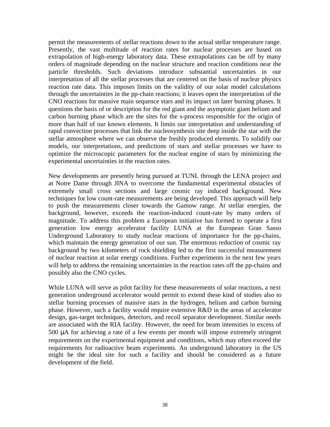permit the measurements of stellar reactions down to the actual stellar temperature range. Presently, the vast multitude of reaction rates for nuclear processes are based on extrapolation of high-energy laboratory data. These extrapolations can be off by many orders of magnitude depending on the nuclear structure and reaction conditions near the particle thresholds. Such deviations introduce substantial uncertainties in our interpretation of all the stellar processes that are centered on the basis of nuclear physics reaction rate data. This imposes limits on the validity of our solar model calculations through the uncertainties in the pp-chain reactions; it leaves open the interpretation of the CNO reactions for massive main sequence stars and its impact on later burning phases. It questions the basis of or description for the red giant and the asymptotic giant helium and carbon burning phase which are the sites for the s-process responsible for the origin of more than half of our known elements. It limits our interpretation and understanding of rapid convection processes that link the nucleosynthesis site deep inside the star with the stellar atmosphere where we can observe the freshly produced elements. To solidify our models, our interpretations, and predictions of stars and stellar processes we have to optimize the microscopic parameters for the nuclear engine of stars by minimizing the experimental uncertainties in the reaction rates.

New developments are presently being pursued at TUNL through the LENA project and at Notre Dame through JINA to overcome the fundamental experimental obstacles of extremely small cross sections and large cosmic ray induced background. New techniques for low count-rate measurements are being developed. This approach will help to push the measurements closer towards the Gamow range. At stellar energies, the background, however, exceeds the reaction-induced count-rate by many orders of magnitude. To address this problem a European initiative has formed to operate a first generation low energy accelerator facility LUNA at the European Gran Sasso Underground Laboratory to study nuclear reactions of importance for the pp-chains, which maintain the energy generation of our sun. The enormous reduction of cosmic ray background by two kilometers of rock shielding led to the first successful measurement of nuclear reaction at solar energy conditions. Further experiments in the next few years will help to address the remaining uncertainties in the reaction rates off the pp-chains and possibly also the CNO cycles.

While LUNA will serve as pilot facility for these measurements of solar reactions, a next generation underground accelerator would permit to extend these kind of studies also to stellar burning processes of massive stars in the hydrogen, helium and carbon burning phase. However, such a facility would require extensive R&D in the areas of accelerator design, gas-target techniques, detectors, and recoil separator development. Similar needs are associated with the RIA facility. However, the need for beam intensities in excess of 500 µA for achieving a rate of a few events per month will impose extremely stringent requirements on the experimental equipment and conditions, which may often exceed the requirements for radioactive beam experiments. An underground laboratory in the US might be the ideal site for such a facility and should be considered as a future development of the field.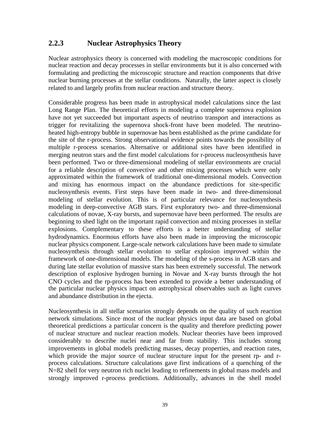# **2.2.3 Nuclear Astrophysics Theory**

Nuclear astrophysics theory is concerned with modeling the macroscopic conditions for nuclear reaction and decay processes in stellar environments but it is also concerned with formulating and predicting the microscopic structure and reaction components that drive nuclear burning processes at the stellar conditions. Naturally, the latter aspect is closely related to and largely profits from nuclear reaction and structure theory.

Considerable progress has been made in astrophysical model calculations since the last Long Range Plan. The theoretical efforts in modeling a complete supernova explosion have not yet succeeded but important aspects of neutrino transport and interactions as trigger for revitalizing the supernova shock-front have been modeled. The neutrinoheated high-entropy bubble in supernovae has been established as the prime candidate for the site of the r-process. Strong observational evidence points towards the possibility of multiple r-process scenarios. Alternative or additional sites have been identified in merging neutron stars and the first model calculations for r-process nucleosynthesis have been performed. Two or three-dimensional modeling of stellar environments are crucial for a reliable description of convective and other mixing processes which were only approximated within the framework of traditional one-dimensional models. Convection and mixing has enormous impact on the abundance predictions for site-specific nucleosynthesis events. First steps have been made in two- and three-dimensional modeling of stellar evolution. This is of particular relevance for nucleosynthesis modeling in deep-convective AGB stars. First exploratory two- and three-dimensional calculations of novae, X-ray bursts, and supernovae have been performed. The results are beginning to shed light on the important rapid convection and mixing processes in stellar explosions. Complementary to these efforts is a better understanding of stellar hydrodynamics. Enormous efforts have also been made in improving the microscopic nuclear physics component. Large-scale network calculations have been made to simulate nucleosynthesis through stellar evolution to stellar explosion improved within the framework of one-dimensional models. The modeling of the s-process in AGB stars and during late stellar evolution of massive stars has been extremely successful. The network description of explosive hydrogen burning in Novae and X-ray bursts through the hot CNO cycles and the rp-process has been extended to provide a better understanding of the particular nuclear physics impact on astrophysical observables such as light curves and abundance distribution in the ejecta.

Nucleosynthesis in all stellar scenarios strongly depends on the quality of such reaction network simulations. Since most of the nuclear physics input data are based on global theoretical predictions a particular concern is the quality and therefore predicting power of nuclear structure and nuclear reaction models. Nuclear theories have been improved considerably to describe nuclei near and far from stability. This includes strong improvements in global models predicting masses, decay properties, and reaction rates, which provide the major source of nuclear structure input for the present rp- and rprocess calculations. Structure calculations gave first indications of a quenching of the N=82 shell for very neutron rich nuclei leading to refinements in global mass models and strongly improved r-process predictions. Additionally, advances in the shell model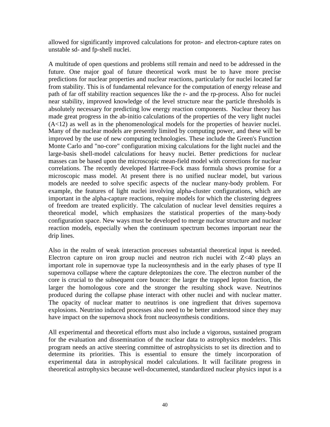allowed for significantly improved calculations for proton- and electron-capture rates on unstable sd- and fp-shell nuclei.

A multitude of open questions and problems still remain and need to be addressed in the future. One major goal of future theoretical work must be to have more precise predictions for nuclear properties and nuclear reactions, particularly for nuclei located far from stability. This is of fundamental relevance for the computation of energy release and path of far off stability reaction sequences like the r- and the rp-process. Also for nuclei near stability, improved knowledge of the level structure near the particle thresholds is absolutely necessary for predicting low energy reaction components. Nuclear theory has made great progress in the ab-initio calculations of the properties of the very light nuclei  $(A<12)$  as well as in the phenomenological models for the properties of heavier nuclei. Many of the nuclear models are presently limited by computing power, and these will be improved by the use of new computing technologies. These include the Green's Function Monte Carlo and "no-core" configuration mixing calculations for the light nuclei and the large-basis shell-model calculations for heavy nuclei. Better predictions for nuclear masses can be based upon the microscopic mean-field model with corrections for nuclear correlations. The recently developed Hartree-Fock mass formula shows promise for a microscopic mass model. At present there is no unified nuclear model, but various models are needed to solve specific aspects of the nuclear many-body problem. For example, the features of light nuclei involving alpha-cluster configurations, which are important in the alpha-capture reactions, require models for which the clustering degrees of freedom are treated explicitly. The calculation of nuclear level densities requires a theoretical model, which emphasizes the statistical properties of the many-body configuration space. New ways must be developed to merge nuclear structure and nuclear reaction models, especially when the continuum spectrum becomes important near the drip lines.

Also in the realm of weak interaction processes substantial theoretical input is needed. Electron capture on iron group nuclei and neutron rich nuclei with Z<40 plays an important role in supernovae type Ia nucleosynthesis and in the early phases of type II supernova collapse where the capture deleptonizes the core. The electron number of the core is crucial to the subsequent core bounce: the larger the trapped lepton fraction, the larger the homologous core and the stronger the resulting shock wave. Neutrinos produced during the collapse phase interact with other nuclei and with nuclear matter. The opacity of nuclear matter to neutrinos is one ingredient that drives supernova explosions. Neutrino induced processes also need to be better understood since they may have impact on the supernova shock front nucleosynthesis conditions.

All experimental and theoretical efforts must also include a vigorous, sustained program for the evaluation and dissemination of the nuclear data to astrophysics modelers. This program needs an active steering committee of astrophysicists to set its direction and to determine its priorities. This is essential to ensure the timely incorporation of experimental data in astrophysical model calculations. It will facilitate progress in theoretical astrophysics because well-documented, standardized nuclear physics input is a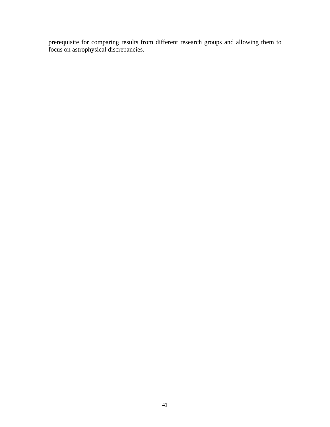prerequisite for comparing results from different research groups and allowing them to focus on astrophysical discrepancies.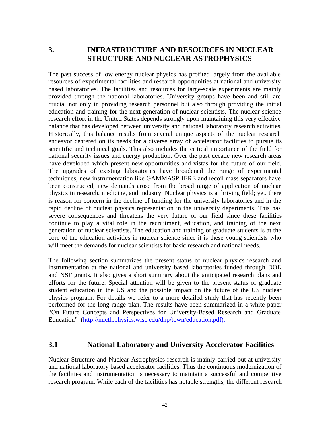# **3. INFRASTRUCTURE AND RESOURCES IN NUCLEAR STRUCTURE AND NUCLEAR ASTROPHYSICS**

The past success of low energy nuclear physics has profited largely from the available resources of experimental facilities and research opportunities at national and university based laboratories. The facilities and resources for large-scale experiments are mainly provided through the national laboratories. University groups have been and still are crucial not only in providing research personnel but also through providing the initial education and training for the next generation of nuclear scientists. The nuclear science research effort in the United States depends strongly upon maintaining this very effective balance that has developed between university and national laboratory research activities. Historically, this balance results from several unique aspects of the nuclear research endeavor centered on its needs for a diverse array of accelerator facilities to pursue its scientific and technical goals. This also includes the critical importance of the field for national security issues and energy production. Over the past decade new research areas have developed which present new opportunities and vistas for the future of our field. The upgrades of existing laboratories have broadened the range of experimental techniques, new instrumentation like GAMMASPHERE and recoil mass separators have been constructed, new demands arose from the broad range of application of nuclear physics in research, medicine, and industry. Nuclear physics is a thriving field; yet, there is reason for concern in the decline of funding for the university laboratories and in the rapid decline of nuclear physics representation in the university departments. This has severe consequences and threatens the very future of our field since these facilities continue to play a vital role in the recruitment, education, and training of the next generation of nuclear scientists. The education and training of graduate students is at the core of the education activities in nuclear science since it is these young scientists who will meet the demands for nuclear scientists for basic research and national needs.

The following section summarizes the present status of nuclear physics research and instrumentation at the national and university based laboratories funded through DOE and NSF grants. It also gives a short summary about the anticipated research plans and efforts for the future. Special attention will be given to the present status of graduate student education in the US and the possible impact on the future of the US nuclear physics program. For details we refer to a more detailed study that has recently been performed for the long-range plan. The results have been summarized in a white paper "On Future Concepts and Perspectives for University-Based Research and Graduate Education" (<http://nucth.physics.wisc.edu/dnp/town/education.pdf>).

## **3.1 National Laboratory and University Accelerator Facilities**

Nuclear Structure and Nuclear Astrophysics research is mainly carried out at university and national laboratory based accelerator facilities. Thus the continuous modernization of the facilities and instrumentation is necessary to maintain a successful and competitive research program. While each of the facilities has notable strengths, the different research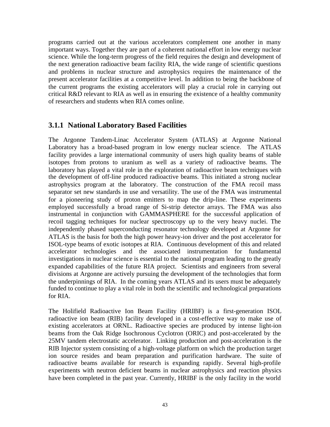programs carried out at the various accelerators complement one another in many important ways. Together they are part of a coherent national effort in low energy nuclear science. While the long-term progress of the field requires the design and development of the next generation radioactive beam facility RIA, the wide range of scientific questions and problems in nuclear structure and astrophysics requires the maintenance of the present accelerator facilities at a competitive level. In addition to being the backbone of the current programs the existing accelerators will play a crucial role in carrying out critical R&D relevant to RIA as well as in ensuring the existence of a healthy community of researchers and students when RIA comes online.

# **3.1.1 National Laboratory Based Facilities**

The Argonne Tandem-Linac Accelerator System (ATLAS) at Argonne National Laboratory has a broad-based program in low energy nuclear science. The ATLAS facility provides a large international community of users high quality beams of stable isotopes from protons to uranium as well as a variety of radioactive beams. The laboratory has played a vital role in the exploration of radioactive beam techniques with the development of off-line produced radioactive beams. This initiated a strong nuclear astrophysics program at the laboratory. The construction of the FMA recoil mass separator set new standards in use and versatility. The use of the FMA was instrumental for a pioneering study of proton emitters to map the drip-line. These experiments employed successfully a broad range of Si-strip detector arrays. The FMA was also instrumental in conjunction with GAMMASPHERE for the successful application of recoil tagging techniques for nuclear spectroscopy up to the very heavy nuclei. The independently phased superconducting resonator technology developed at Argonne for ATLAS is the basis for both the high power heavy-ion driver and the post accelerator for ISOL-type beams of exotic isotopes at RIA. Continuous development of this and related accelerator technologies and the associated instrumentation for fundamental investigations in nuclear science is essential to the national program leading to the greatly expanded capabilities of the future RIA project. Scientists and engineers from several divisions at Argonne are actively pursuing the development of the technologies that form the underpinnings of RIA. In the coming years ATLAS and its users must be adequately funded to continue to play a vital role in both the scientific and technological preparations for RIA.

The Holifield Radioactive Ion Beam Facility (HRIBF) is a first-generation ISOL radioactive ion beam (RIB) facility developed in a cost-effective way to make use of existing accelerators at ORNL. Radioactive species are produced by intense light-ion beams from the Oak Ridge Isochronous Cyclotron (ORIC) and post-accelerated by the 25MV tandem electrostatic accelerator. Linking production and post-acceleration is the RIB Injector system consisting of a high-voltage platform on which the production target ion source resides and beam preparation and purification hardware. The suite of radioactive beams available for research is expanding rapidly. Several high-profile experiments with neutron deficient beams in nuclear astrophysics and reaction physics have been completed in the past year. Currently, HRIBF is the only facility in the world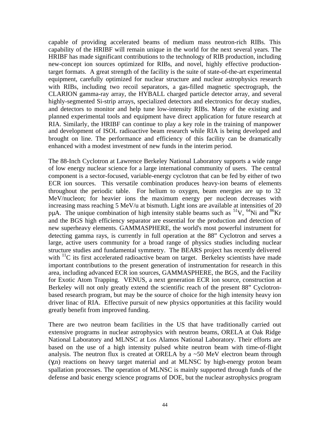capable of providing accelerated beams of medium mass neutron-rich RIBs. This capability of the HRIBF will remain unique in the world for the next several years. The HRIBF has made significant contributions to the technology of RIB production, including new-concept ion sources optimized for RIBs, and novel, highly effective productiontarget formats. A great strength of the facility is the suite of state-of-the-art experimental equipment, carefully optimized for nuclear structure and nuclear astrophysics research with RIBs, including two recoil separators, a gas-filled magnetic spectrograph, the CLARION gamma-ray array, the HYBALL charged particle detector array, and several highly-segmented Si-strip arrays, specialized detectors and electronics for decay studies, and detectors to monitor and help tune low-intensity RIBs. Many of the existing and planned experimental tools and equipment have direct application for future research at RIA. Similarly, the HRIBF can continue to play a key role in the training of manpower and development of ISOL radioactive beam research while RIA is being developed and brought on line. The performance and efficiency of this facility can be dramatically enhanced with a modest investment of new funds in the interim period.

The 88-Inch Cyclotron at Lawrence Berkeley National Laboratory supports a wide range of low energy nuclear science for a large international community of users. The central component is a sector-focused, variable-energy cyclotron that can be fed by either of two ECR ion sources. This versatile combination produces heavy-ion beams of elements throughout the periodic table. For helium to oxygen, beam energies are up to 32 MeV/nucleon; for heavier ions the maximum energy per nucleon decreases with increasing mass reaching 5 MeV/u at bismuth. Light ions are available at intensities of 20 pµA. The unique combination of high intensity stable beams such as  ${}^{51}V$ ,  ${}^{64}Ni$  and  ${}^{86}Kr$ and the BGS high efficiency separator are essential for the production and detection of new superheavy elements. GAMMASPHERE, the world's most powerful instrument for detecting gamma rays, is currently in full operation at the 88" Cyclotron and serves a large, active users community for a broad range of physics studies including nuclear structure studies and fundamental symmetry. The BEARS project has recently delivered with  $\rm ^{11}C$  its first accelerated radioactive beam on target. Berkeley scientists have made important contributions to the present generation of instrumentation for research in this area, including advanced ECR ion sources, GAMMASPHERE, the BGS, and the Facility for Exotic Atom Trapping. VENUS, a next generation ECR ion source, construction at Berkeley will not only greatly extend the scientific reach of the present 88" Cyclotronbased research program, but may be the source of choice for the high intensity heavy ion driver linac of RIA. Effective pursuit of new physics opportunities at this facility would greatly benefit from improved funding.

There are two neutron beam facilities in the US that have traditionally carried out extensive programs in nuclear astrophysics with neutron beams, ORELA at Oak Ridge National Laboratory and MLNSC at Los Alamos National Laboratory. Their efforts are based on the use of a high intensity pulsed white neutron beam with time-of-flight analysis. The neutron flux is created at ORELA by a  $\sim$  50 MeV electron beam through (γ,n) reactions on heavy target material and at MLNSC by high-energy proton beam spallation processes. The operation of MLNSC is mainly supported through funds of the defense and basic energy science programs of DOE, but the nuclear astrophysics program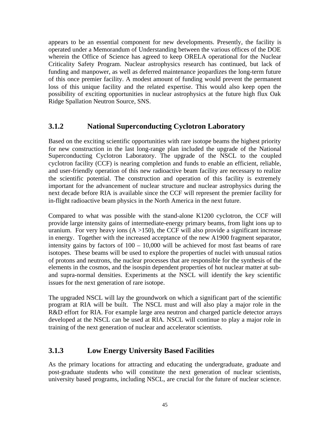appears to be an essential component for new developments. Presently, the facility is operated under a Memorandum of Understanding between the various offices of the DOE wherein the Office of Science has agreed to keep ORELA operational for the Nuclear Criticality Safety Program. Nuclear astrophysics research has continued, but lack of funding and manpower, as well as deferred maintenance jeopardizes the long-term future of this once premier facility. A modest amount of funding would prevent the permanent loss of this unique facility and the related expertise. This would also keep open the possibility of exciting opportunities in nuclear astrophysics at the future high flux Oak Ridge Spallation Neutron Source, SNS.

## **3.1.2 National Superconducting Cyclotron Laboratory**

Based on the exciting scientific opportunities with rare isotope beams the highest priority for new construction in the last long-range plan included the upgrade of the National Superconducting Cyclotron Laboratory. The upgrade of the NSCL to the coupled cyclotron facility (CCF) is nearing completion and funds to enable an efficient, reliable, and user-friendly operation of this new radioactive beam facility are necessary to realize the scientific potential. The construction and operation of this facility is extremely important for the advancement of nuclear structure and nuclear astrophysics during the next decade before RIA is available since the CCF will represent the premier facility for in-flight radioactive beam physics in the North America in the next future.

Compared to what was possible with the stand-alone K1200 cyclotron, the CCF will provide large intensity gains of intermediate-energy primary beams, from light ions up to uranium. For very heavy ions  $(A > 150)$ , the CCF will also provide a significant increase in energy. Together with the increased acceptance of the new A1900 fragment separator, intensity gains by factors of 100 – 10,000 will be achieved for most fast beams of rare isotopes. These beams will be used to explore the properties of nuclei with unusual ratios of protons and neutrons, the nuclear processes that are responsible for the synthesis of the elements in the cosmos, and the isospin dependent properties of hot nuclear matter at suband supra-normal densities. Experiments at the NSCL will identify the key scientific issues for the next generation of rare isotope.

The upgraded NSCL will lay the groundwork on which a significant part of the scientific program at RIA will be built. The NSCL must and will also play a major role in the R&D effort for RIA. For example large area neutron and charged particle detector arrays developed at the NSCL can be used at RIA. NSCL will continue to play a major role in training of the next generation of nuclear and accelerator scientists.

# **3.1.3 Low Energy University Based Facilities**

As the primary locations for attracting and educating the undergraduate, graduate and post-graduate students who will constitute the next generation of nuclear scientists, university based programs, including NSCL, are crucial for the future of nuclear science.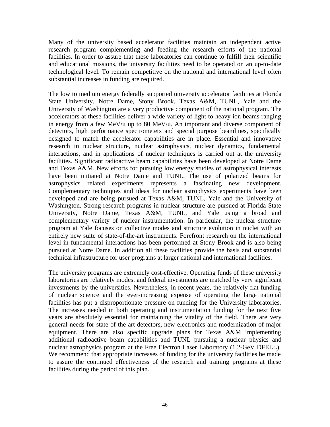Many of the university based accelerator facilities maintain an independent active research program complementing and feeding the research efforts of the national facilities. In order to assure that these laboratories can continue to fulfill their scientific and educational missions, the university facilities need to be operated on an up-to-date technological level. To remain competitive on the national and international level often substantial increases in funding are required.

The low to medium energy federally supported university accelerator facilities at Florida State University, Notre Dame, Stony Brook, Texas A&M, TUNL, Yale and the University of Washington are a very productive component of the national program. The accelerators at these facilities deliver a wide variety of light to heavy ion beams ranging in energy from a few MeV/u up to 80 MeV/u. An important and diverse component of detectors, high performance spectrometers and special purpose beamlines, specifically designed to match the accelerator capabilities are in place. Essential and innovative research in nuclear structure, nuclear astrophysics, nuclear dynamics, fundamental interactions, and in applications of nuclear techniques is carried out at the university facilities. Significant radioactive beam capabilities have been developed at Notre Dame and Texas A&M. New efforts for pursuing low energy studies of astrophysical interests have been initiated at Notre Dame and TUNL. The use of polarized beams for astrophysics related experiments represents a fascinating new development. Complementary techniques and ideas for nuclear astrophysics experiments have been developed and are being pursued at Texas A&M, TUNL, Yale and the University of Washington. Strong research programs in nuclear structure are pursued at Florida State University, Notre Dame, Texas A&M, TUNL, and Yale using a broad and complementary variety of nuclear instrumentation. In particular, the nuclear structure program at Yale focuses on collective modes and structure evolution in nuclei with an entirely new suite of state-of-the-art instruments. Forefront research on the international level in fundamental interactions has been performed at Stony Brook and is also being pursued at Notre Dame. In addition all these facilities provide the basis and substantial technical infrastructure for user programs at larger national and international facilities.

The university programs are extremely cost-effective. Operating funds of these university laboratories are relatively modest and federal investments are matched by very significant investments by the universities. Nevertheless, in recent years, the relatively flat funding of nuclear science and the ever-increasing expense of operating the large national facilities has put a disproportionate pressure on funding for the University laboratories. The increases needed in both operating and instrumentation funding for the next five years are absolutely essential for maintaining the vitality of the field. There are very general needs for state of the art detectors, new electronics and modernization of major equipment. There are also specific upgrade plans for Texas A&M implementing additional radioactive beam capabilities and TUNL pursuing a nuclear physics and nuclear astrophysics program at the Free Electron Laser Laboratory (1.2-GeV DFELL). We recommend that appropriate increases of funding for the university facilities be made to assure the continued effectiveness of the research and training programs at these facilities during the period of this plan.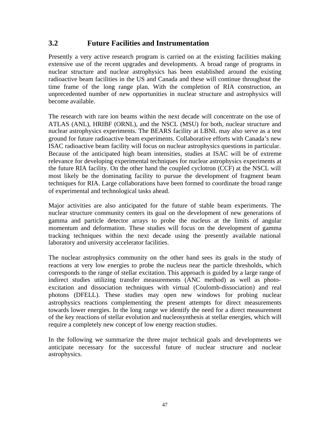# **3.2 Future Facilities and Instrumentation**

Presently a very active research program is carried on at the existing facilities making extensive use of the recent upgrades and developments. A broad range of programs in nuclear structure and nuclear astrophysics has been established around the existing radioactive beam facilities in the US and Canada and these will continue throughout the time frame of the long range plan. With the completion of RIA construction, an unprecedented number of new opportunities in nuclear structure and astrophysics will become available.

The research with rare ion beams within the next decade will concentrate on the use of ATLAS (ANL), HRIBF (ORNL), and the NSCL (MSU) for both, nuclear structure and nuclear astrophysics experiments. The BEARS facility at LBNL may also serve as a test ground for future radioactive beam experiments. Collaborative efforts with Canada's new ISAC radioactive beam facility will focus on nuclear astrophysics questions in particular. Because of the anticipated high beam intensities, studies at ISAC will be of extreme relevance for developing experimental techniques for nuclear astrophysics experiments at the future RIA facility. On the other hand the coupled cyclotron (CCF) at the NSCL will most likely be the dominating facility to pursue the development of fragment beam techniques for RIA. Large collaborations have been formed to coordinate the broad range of experimental and technological tasks ahead.

Major activities are also anticipated for the future of stable beam experiments. The nuclear structure community centers its goal on the development of new generations of gamma and particle detector arrays to probe the nucleus at the limits of angular momentum and deformation. These studies will focus on the development of gamma tracking techniques within the next decade using the presently available national laboratory and university accelerator facilities.

The nuclear astrophysics community on the other hand sees its goals in the study of reactions at very low energies to probe the nucleus near the particle thresholds, which corresponds to the range of stellar excitation. This approach is guided by a large range of indirect studies utilizing transfer measurements (ANC method) as well as photoexcitation and dissociation techniques with virtual (Coulomb-dissociation) and real photons (DFELL). These studies may open new windows for probing nuclear astrophysics reactions complementing the present attempts for direct measurements towards lower energies. In the long range we identify the need for a direct measurement of the key reactions of stellar evolution and nucleosynthesis at stellar energies, which will require a completely new concept of low energy reaction studies.

In the following we summarize the three major technical goals and developments we anticipate necessary for the successful future of nuclear structure and nuclear astrophysics.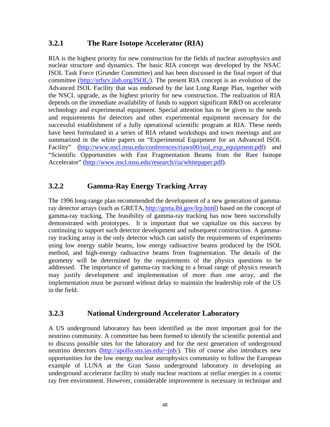# **3.2.1 The Rare Isotope Accelerator (RIA)**

RIA is the highest priority for new construction for the fields of nuclear astrophysics and nuclear structure and dynamics. The basic RIA concept was developed by the NSAC ISOL Task Force (Grunder Committee) and has been discussed in the final report of that committee (<http://srfsrv.jlab.org/ISOL/>). The present RIA concept is an evolution of the Advanced ISOL Facility that was endorsed by the last Long Range Plan, together with the NSCL upgrade, as the highest priority for new construction. The realization of RIA depends on the immediate availability of funds to support significant R&D on accelerator technology and experimental equipment. Special attention has to be given to the needs and requirements for detectors and other experimental equipment necessary for the successful establishment of a fully operational scientific program at RIA. These needs have been formulated in a series of RIA related workshops and town meetings and are summarized in the white papers on "Experimental Equipment for an Advanced ISOL Facility" [\(http://www.nscl.msu.edu/conferences/riaws00/isol\\_exp\\_equipment.pdf](http://www.nscl.msu.edu/conferences/riaws00/isol_exp_equipment.pdf)) and "Scientific Opportunities with Fast Fragmentation Beams from the Rare Isotope Accelerator" [\(http://www.nscl.msu.edu/research/ria/whitepaper.pdf](http://www.nscl.msu.edu/research/ria/whitepaper.pdf)).

# **3.2.2 Gamma-Ray Energy Tracking Array**

The 1996 long-range plan recommended the development of a new generation of gammaray detector arrays (such as GRETA,<http://greta.lbl.gov/lrp.html>) based on the concept of gamma-ray tracking. The feasibility of gamma-ray tracking has now been successfully demonstrated with prototypes. It is important that we capitalize on this success by continuing to support such detector development and subsequent construction. A gammaray tracking array is the only detector which can satisfy the requirements of experiments using low energy stable beams, low energy radioactive beams produced by the ISOL method, and high-energy radioactive beams from fragmentation. The details of the geometry will be determined by the requirements of the physics questions to be addressed. The importance of gamma-ray tracking to a broad range of physics research may justify development and implementation of more than one array, and the implementation must be pursued without delay to maintain the leadership role of the US in the field.

## **3.2.3 National Underground Accelerator Laboratory**

A US underground laboratory has been identified as the most important goal for the neutrino community. A committee has been formed to identify the scientific potential and to discuss possible sites for the laboratory and for the next generation of underground neutrino detectors [\(http://apollo.sns.ias.edu/~jnb/](http://apollo.sns.ias.edu/~jnb/)). This of course also introduces new opportunities for the low energy nuclear astrophysics community to follow the European example of LUNA at the Gran Sasso underground laboratory in developing an underground accelerator facility to study nuclear reactions at stellar energies in a cosmic ray free environment. However, considerable improvement is necessary in technique and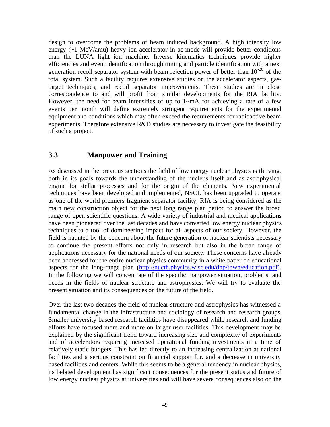design to overcome the problems of beam induced background. A high intensity low energy (~1 MeV/amu) heavy ion accelerator in ac-mode will provide better conditions than the LUNA light ion machine. Inverse kinematics techniques provide higher efficiencies and event identification through timing and particle identification with a next generation recoil separator system with beam rejection power of better than  $10^{-20}$  of the total system. Such a facility requires extensive studies on the accelerator aspects, gastarget techniques, and recoil separator improvements. These studies are in close correspondence to and will profit from similar developments for the RIA facility. However, the need for beam intensities of up to  $1-\text{mA}$  for achieving a rate of a few events per month will define extremely stringent requirements for the experimental equipment and conditions which may often exceed the requirements for radioactive beam experiments. Therefore extensive R&D studies are necessary to investigate the feasibility of such a project.

# **3.3 Manpower and Training**

As discussed in the previous sections the field of low energy nuclear physics is thriving, both in its goals towards the understanding of the nucleus itself and as astrophysical engine for stellar processes and for the origin of the elements. New experimental techniques have been developed and implemented, NSCL has been upgraded to operate as one of the world premiers fragment separator facility, RIA is being considered as the main new construction object for the next long range plan period to answer the broad range of open scientific questions. A wide variety of industrial and medical applications have been pioneered over the last decades and have converted low energy nuclear physics techniques to a tool of domineering impact for all aspects of our society. However, the field is haunted by the concern about the future generation of nuclear scientists necessary to continue the present efforts not only in research but also in the broad range of applications necessary for the national needs of our society. These concerns have already been addressed for the entire nuclear physics community in a white paper on educational aspects for the long-range plan (<http://nucth.physics.wisc.edu/dnp/town/education.pdf>). In the following we will concentrate of the specific manpower situation, problems, and needs in the fields of nuclear structure and astrophysics. We will try to evaluate the present situation and its consequences on the future of the field.

Over the last two decades the field of nuclear structure and astrophysics has witnessed a fundamental change in the infrastructure and sociology of research and research groups. Smaller university based research facilities have disappeared while research and funding efforts have focused more and more on larger user facilities. This development may be explained by the significant trend toward increasing size and complexity of experiments and of accelerators requiring increased operational funding investments in a time of relatively static budgets. This has led directly to an increasing centralization at national facilities and a serious constraint on financial support for, and a decrease in university based facilities and centers. While this seems to be a general tendency in nuclear physics, its belated development has significant consequences for the present status and future of low energy nuclear physics at universities and will have severe consequences also on the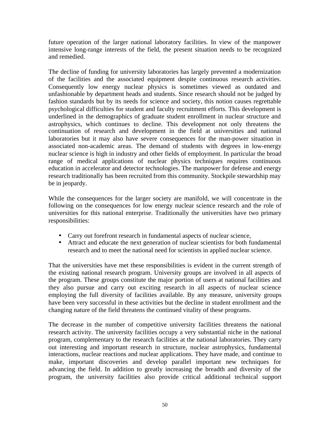future operation of the larger national laboratory facilities. In view of the manpower intensive long-range interests of the field, the present situation needs to be recognized and remedied.

The decline of funding for university laboratories has largely prevented a modernization of the facilities and the associated equipment despite continuous research activities. Consequently low energy nuclear physics is sometimes viewed as outdated and unfashionable by department heads and students. Since research should not be judged by fashion standards but by its needs for science and society, this notion causes regrettable psychological difficulties for student and faculty recruitment efforts. This development is underlined in the demographics of graduate student enrollment in nuclear structure and astrophysics, which continues to decline. This development not only threatens the continuation of research and development in the field at universities and national laboratories but it may also have severe consequences for the man-power situation in associated non-academic areas. The demand of students with degrees in low-energy nuclear science is high in industry and other fields of employment. In particular the broad range of medical applications of nuclear physics techniques requires continuous education in accelerator and detector technologies. The manpower for defense and energy research traditionally has been recruited from this community. Stockpile stewardship may be in jeopardy.

While the consequences for the larger society are manifold, we will concentrate in the following on the consequences for low energy nuclear science research and the role of universities for this national enterprise. Traditionally the universities have two primary responsibilities:

- Carry out forefront research in fundamental aspects of nuclear science,
- Attract and educate the next generation of nuclear scientists for both fundamental research and to meet the national need for scientists in applied nuclear science.

That the universities have met these responsibilities is evident in the current strength of the existing national research program. University groups are involved in all aspects of the program. These groups constitute the major portion of users at national facilities and they also pursue and carry out exciting research in all aspects of nuclear science employing the full diversity of facilities available. By any measure, university groups have been very successful in these activities but the decline in student enrollment and the changing nature of the field threatens the continued vitality of these programs.

The decrease in the number of competitive university facilities threatens the national research activity. The university facilities occupy a very substantial niche in the national program, complementary to the research facilities at the national laboratories. They carry out interesting and important research in structure, nuclear astrophysics, fundamental interactions, nuclear reactions and nuclear applications. They have made, and continue to make, important discoveries and develop parallel important new techniques for advancing the field. In addition to greatly increasing the breadth and diversity of the program, the university facilities also provide critical additional technical support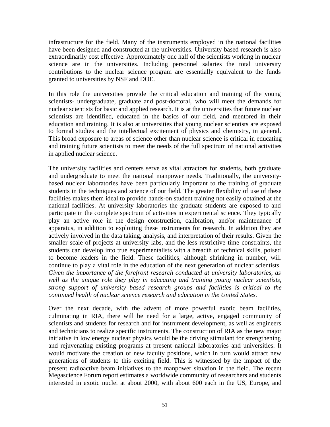infrastructure for the field. Many of the instruments employed in the national facilities have been designed and constructed at the universities. University based research is also extraordinarily cost effective. Approximately one half of the scientists working in nuclear science are in the universities. Including personnel salaries the total university contributions to the nuclear science program are essentially equivalent to the funds granted to universities by NSF and DOE.

In this role the universities provide the critical education and training of the young scientists- undergraduate, graduate and post-doctoral, who will meet the demands for nuclear scientists for basic and applied research. It is at the universities that future nuclear scientists are identified, educated in the basics of our field, and mentored in their education and training. It is also at universities that young nuclear scientists are exposed to formal studies and the intellectual excitement of physics and chemistry, in general. This broad exposure to areas of science other than nuclear science is critical in educating and training future scientists to meet the needs of the full spectrum of national activities in applied nuclear science.

The university facilities and centers serve as vital attractors for students, both graduate and undergraduate to meet the national manpower needs. Traditionally, the universitybased nuclear laboratories have been particularly important to the training of graduate students in the techniques and science of our field. The greater flexibility of use of these facilities makes them ideal to provide hands-on student training not easily obtained at the national facilities. At university laboratories the graduate students are exposed to and participate in the complete spectrum of activities in experimental science. They typically play an active role in the design construction, calibration, and/or maintenance of apparatus, in addition to exploiting these instruments for research. In addition they are actively involved in the data taking, analysis, and interpretation of their results. Given the smaller scale of projects at university labs, and the less restrictive time constraints, the students can develop into true experimentalists with a breadth of technical skills, poised to become leaders in the field. These facilities, although shrinking in number, will continue to play a vital role in the education of the next generation of nuclear scientists. *Given the importance of the forefront research conducted at university laboratories, as well as the unique role they play in educating and training young nuclear scientists, strong support of university based research groups and facilities is critical to the continued health of nuclear science research and education in the United States.*

Over the next decade, with the advent of more powerful exotic beam facilities, culminating in RIA, there will be need for a large, active, engaged community of scientists and students for research and for instrument development, as well as engineers and technicians to realize specific instruments. The construction of RIA as the new major initiative in low energy nuclear physics would be the driving stimulant for strengthening and rejuvenating existing programs at present national laboratories and universities. It would motivate the creation of new faculty positions, which in turn would attract new generations of students to this exciting field. This is witnessed by the impact of the present radioactive beam initiatives to the manpower situation in the field. The recent Megascience Forum report estimates a worldwide community of researchers and students interested in exotic nuclei at about 2000, with about 600 each in the US, Europe, and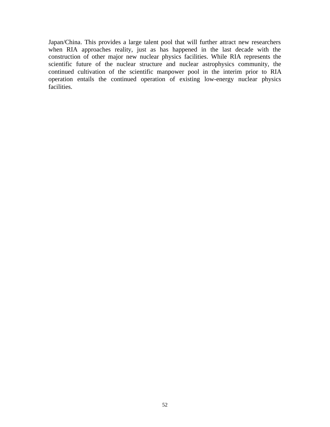Japan/China. This provides a large talent pool that will further attract new researchers when RIA approaches reality, just as has happened in the last decade with the construction of other major new nuclear physics facilities. While RIA represents the scientific future of the nuclear structure and nuclear astrophysics community, the continued cultivation of the scientific manpower pool in the interim prior to RIA operation entails the continued operation of existing low-energy nuclear physics facilities.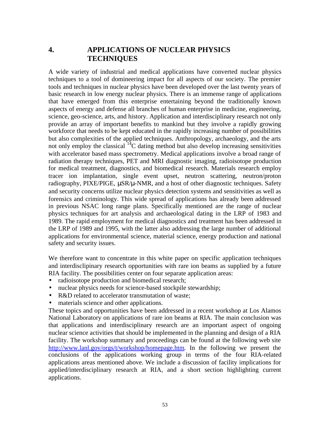# **4. APPLICATIONS OF NUCLEAR PHYSICS TECHNIQUES**

A wide variety of industrial and medical applications have converted nuclear physics techniques to a tool of domineering impact for all aspects of our society. The premier tools and techniques in nuclear physics have been developed over the last twenty years of basic research in low energy nuclear physics. There is an immense range of applications that have emerged from this enterprise entertaining beyond the traditionally known aspects of energy and defense all branches of human enterprise in medicine, engineering, science, geo-science, arts, and history. Application and interdisciplinary research not only provide an array of important benefits to mankind but they involve a rapidly growing workforce that needs to be kept educated in the rapidly increasing number of possibilities but also complexities of the applied techniques. Anthropology, archaeology, and the arts not only employ the classical  ${}^{14}C$  dating method but also develop increasing sensitivities with accelerator based mass spectrometry. Medical applications involve a broad range of radiation therapy techniques, PET and MRI diagnostic imaging, radioisotope production for medical treatment, diagnostics, and biomedical research. Materials research employ tracer ion implantation, single event upset, neutron scattering, neutron/proton radiography, PIXE/PIGE, µSR/µ-NMR, and a host of other diagnostic techniques. Safety and security concerns utilize nuclear physics detection systems and sensitivities as well as forensics and criminology. This wide spread of applications has already been addressed in previous NSAC long range plans. Specifically mentioned are the range of nuclear physics techniques for art analysis and archaeological dating in the LRP of 1983 and 1989. The rapid employment for medical diagnostics and treatment has been addressed in the LRP of 1989 and 1995, with the latter also addressing the large number of additional applications for environmental science, material science, energy production and national safety and security issues.

We therefore want to concentrate in this white paper on specific application techniques and interdisclipinary research opportunities with rare ion beams as supplied by a future RIA facility. The possibilities center on four separate application areas:

- radioisotope production and biomedical research;
- nuclear physics needs for science-based stockpile stewardship;
- R&D related to accelerator transmutation of waste;
- materials science and other applications.

These topics and opportunities have been addressed in a recent workshop at Los Alamos National Laboratory on applications of rare ion beams at RIA. The main conclusion was that applications and interdisciplinary research are an important aspect of ongoing nuclear science activities that should be implemented in the planning and design of a RIA facility. The workshop summary and proceedings can be found at the following web site <http://www.lanl.gov/orgs/t/workshop/homepage.htm>. In the following we present the conclusions of the applications working group in terms of the four RIA-related applications areas mentioned above. We include a discussion of facility implications for applied/interdisciplinary research at RIA, and a short section highlighting current applications.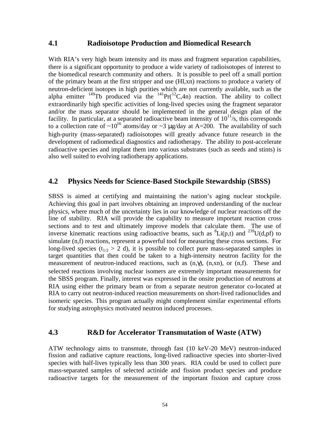## **4.1 Radioisotope Production and Biomedical Research**

With RIA's very high beam intensity and its mass and fragment separation capabilities, there is a significant opportunity to produce a wide variety of radioisotopes of interest to the biomedical research community and others. It is possible to peel off a small portion of the primary beam at the first stripper and use (HI,xn) reactions to produce a variety of neutron-deficient isotopes in high purities which are not currently available, such as the alpha emitter  $^{149}$ Tb produced via the  $^{141}$ Pr( $^{12}$ C,4n) reaction. The ability to collect extraordinarily high specific activities of long-lived species using the fragment separator and/or the mass separator should be implemented in the general design plan of the facility. In particular, at a separated radioactive beam intensity of  $10^{11}/s$ , this corresponds to a collection rate of  $\sim 10^{16}$  atoms/day or  $\sim 3$  ug/day at A=200. The availability of such high-purity (mass-separated) radioisotopes will greatly advance future research in the development of radiomedical diagnostics and radiotherapy. The ability to post-accelerate radioactive species and implant them into various substrates (such as seeds and stints) is also well suited to evolving radiotherapy applications.

## **4.2 Physics Needs for Science-Based Stockpile Stewardship (SBSS)**

SBSS is aimed at certifying and maintaining the nation's aging nuclear stockpile. Achieving this goal in part involves obtaining an improved understanding of the nuclear physics, where much of the uncertainty lies in our knowledge of nuclear reactions off the line of stability. RIA will provide the capability to measure important reaction cross sections and to test and ultimately improve models that calculate them. The use of inverse kinematic reactions using radioactive beams, such as  ${}^{8}Li(p,t)$  and  ${}^{239}U(d,pf)$  to simulate (n,f) reactions, represent a powerful tool for measuring these cross sections. For long-lived species ( $t_{1/2} > 2$  d), it is possible to collect pure mass-separated samples in target quantities that then could be taken to a high-intensity neutron facility for the measurement of neutron-induced reactions, such as  $(n, \gamma)$ ,  $(n, xn)$ , or  $(n,f)$ . These and selected reactions involving nuclear isomers are extremely important measurements for the SBSS program. Finally, interest was expressed in the onsite production of neutrons at RIA using either the primary beam or from a separate neutron generator co-located at RIA to carry out neutron-induced reaction measurements on short-lived radionuclides and isomeric species. This program actually might complement similar experimental efforts for studying astrophysics motivated neutron induced processes.

## **4.3 R&D for Accelerator Transmutation of Waste (ATW)**

ATW technology aims to transmute, through fast (10 keV-20 MeV) neutron-induced fission and radiative capture reactions, long-lived radioactive species into shorter-lived species with half-lives typically less than 300 years. RIA could be used to collect pure mass-separated samples of selected actinide and fission product species and produce radioactive targets for the measurement of the important fission and capture cross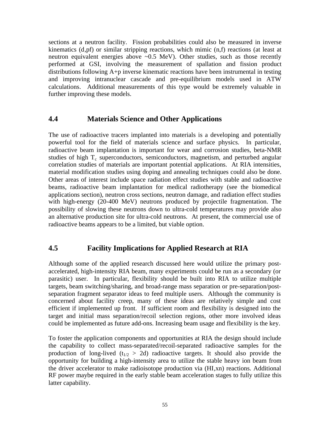sections at a neutron facility. Fission probabilities could also be measured in inverse kinematics (d,pf) or similar stripping reactions, which mimic (n,f) reactions (at least at neutron equivalent energies above  $\sim 0.5$  MeV). Other studies, such as those recently performed at GSI, involving the measurement of spallation and fission product distributions following A+p inverse kinematic reactions have been instrumental in testing and improving intranuclear cascade and pre-equilibrium models used in ATW calculations. Additional measurements of this type would be extremely valuable in further improving these models.

## **4.4 Materials Science and Other Applications**

The use of radioactive tracers implanted into materials is a developing and potentially powerful tool for the field of materials science and surface physics. In particular, radioactive beam implantation is important for wear and corrosion studies, beta-NMR studies of high  $T_c$  superconductors, semiconductors, magnetism, and perturbed angular correlation studies of materials are important potential applications. At RIA intensities, material modification studies using doping and annealing techniques could also be done. Other areas of interest include space radiation effect studies with stable and radioactive beams, radioactive beam implantation for medical radiotherapy (see the biomedical applications section), neutron cross sections, neutron damage, and radiation effect studies with high-energy (20-400 MeV) neutrons produced by projectile fragmentation. The possibility of slowing these neutrons down to ultra-cold temperatures may provide also an alternative production site for ultra-cold neutrons. At present, the commercial use of radioactive beams appears to be a limited, but viable option.

## **4.5 Facility Implications for Applied Research at RIA**

Although some of the applied research discussed here would utilize the primary postaccelerated, high-intensity RIA beam, many experiments could be run as a secondary (or parasitic) user. In particular, flexibility should be built into RIA to utilize multiple targets, beam switching/sharing, and broad-range mass separation or pre-separation/postseparation fragment separator ideas to feed multiple users. Although the community is concerned about facility creep, many of these ideas are relatively simple and cost efficient if implemented up front. If sufficient room and flexibility is designed into the target and initial mass separation/recoil selection regions, other more involved ideas could be implemented as future add-ons. Increasing beam usage and flexibility is the key.

To foster the application components and opportunities at RIA the design should include the capability to collect mass-separated/recoil-separated radioactive samples for the production of long-lived ( $t_{1/2} > 2d$ ) radioactive targets. It should also provide the opportunity for building a high-intensity area to utilize the stable heavy ion beam from the driver accelerator to make radioisotope production via (HI,xn) reactions. Additional RF power maybe required in the early stable beam acceleration stages to fully utilize this latter capability.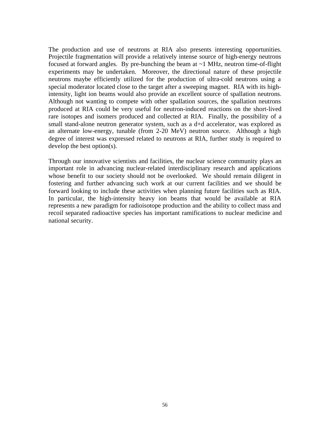The production and use of neutrons at RIA also presents interesting opportunities. Projectile fragmentation will provide a relatively intense source of high-energy neutrons focused at forward angles. By pre-bunching the beam at  $\sim$ 1 MHz, neutron time-of-flight experiments may be undertaken. Moreover, the directional nature of these projectile neutrons maybe efficiently utilized for the production of ultra-cold neutrons using a special moderator located close to the target after a sweeping magnet. RIA with its highintensity, light ion beams would also provide an excellent source of spallation neutrons. Although not wanting to compete with other spallation sources, the spallation neutrons produced at RIA could be very useful for neutron-induced reactions on the short-lived rare isotopes and isomers produced and collected at RIA. Finally, the possibility of a small stand-alone neutron generator system, such as a d+d accelerator, was explored as an alternate low-energy, tunable (from 2-20 MeV) neutron source. Although a high degree of interest was expressed related to neutrons at RIA, further study is required to develop the best option(s).

Through our innovative scientists and facilities, the nuclear science community plays an important role in advancing nuclear-related interdisciplinary research and applications whose benefit to our society should not be overlooked. We should remain diligent in fostering and further advancing such work at our current facilities and we should be forward looking to include these activities when planning future facilities such as RIA. In particular, the high-intensity heavy ion beams that would be available at RIA represents a new paradigm for radioisotope production and the ability to collect mass and recoil separated radioactive species has important ramifications to nuclear medicine and national security.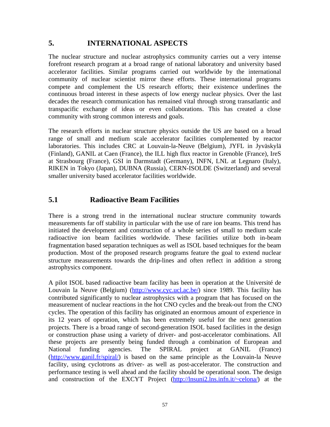# **5. INTERNATIONAL ASPECTS**

The nuclear structure and nuclear astrophysics community carries out a very intense forefront research program at a broad range of national laboratory and university based accelerator facilities. Similar programs carried out worldwide by the international community of nuclear scientist mirror these efforts. These international programs compete and complement the US research efforts; their existence underlines the continuous broad interest in these aspects of low energy nuclear physics. Over the last decades the research communication has remained vital through strong transatlantic and transpacific exchange of ideas or even collaborations. This has created a close community with strong common interests and goals.

The research efforts in nuclear structure physics outside the US are based on a broad range of small and medium scale accelerator facilities complemented by reactor laboratories. This includes CRC at Louvain-la-Neuve (Belgium), JYFL in Jyväskylä (Finland), GANIL at Caen (France), the ILL high flux reactor in Grenoble (France), IreS at Strasbourg (France), GSI in Darmstadt (Germany), INFN, LNL at Legnaro (Italy), RIKEN in Tokyo (Japan), DUBNA (Russia), CERN-ISOLDE (Switzerland) and several smaller university based accelerator facilities worldwide.

# **5.1 Radioactive Beam Facilities**

There is a strong trend in the international nuclear structure community towards measurements far off stability in particular with the use of rare ion beams. This trend has initiated the development and construction of a whole series of small to medium scale radioactive ion beam facilities worldwide. These facilities utilize both in-beam fragmentation based separation techniques as well as ISOL based techniques for the beam production. Most of the proposed research programs feature the goal to extend nuclear structure measurements towards the drip-lines and often reflect in addition a strong astrophysics component.

A pilot ISOL based radioactive beam facility has been in operation at the Université de Louvain la Neuve (Belgium) [\(http://www.cyc.ucl.ac.be/](http://www.cyc.ucl.ac.be/)) since 1989. This facility has contributed significantly to nuclear astrophysics with a program that has focused on the measurement of nuclear reactions in the hot CNO cycles and the break-out from the CNO cycles. The operation of this facility has originated an enormous amount of experience in its 12 years of operation, which has been extremely useful for the next generation projects. There is a broad range of second-generation ISOL based facilities in the design or construction phase using a variety of driver- and post-accelerator combinations. All these projects are presently being funded through a combination of European and National funding agencies. The SPIRAL project at GANIL (France) (<http://www.ganil.fr/spiral/>) is based on the same principle as the Louvain-la Neuve facility, using cyclotrons as driver- as well as post-accelerator. The construction and performance testing is well ahead and the facility should be operational soon. The design and construction of the EXCYT Project [\(http://lnsuni2.lns.infn.it/~celona/](http://lnsuni2.lns.infn.it/~celona/)) at the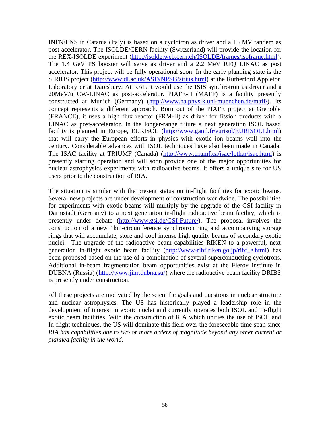INFN/LNS in Catania (Italy) is based on a cyclotron as driver and a 15 MV tandem as post accelerator. The ISOLDE/CERN facility (Switzerland) will provide the location for the REX-ISOLDE experiment [\(http://isolde.web.cern.ch/ISOLDE/frames/isoframe.html](http://isolde.web.cern.ch/ISOLDE/frames/isoframe.html)). The 1.4 GeV PS booster will serve as driver and a 2.2 MeV RFQ LINAC as post accelerator. This project will be fully operational soon. In the early planning state is the SIRIUS project [\(http://www.dl.ac.uk/ASD/NPSG/sirius.html](http://www.dl.ac.uk/ASD/NPSG/sirius.html)) at the Rutherford Appleton Laboratory or at Daresbury. At RAL it would use the ISIS synchrotron as driver and a 20MeV/u CW-LINAC as post-accelerator. PIAFE-II (MAFF) is a facility presently constructed at Munich (Germany) (<http://www.ha.physik.uni-muenchen.de/maff/>). Its concept represents a different approach. Born out of the PIAFE project at Grenoble (FRANCE), it uses a high flux reactor (FRM-II) as driver for fission products with a LINAC as post-accelerator. In the longer-range future a next generation ISOL based facility is planned in Europe, EURISOL (<http://www.ganil.fr/eurisol/EURISOL1.html>) that will carry the European efforts in physics with exotic ion beams well into the century. Considerable advances with ISOL techniques have also been made in Canada. The ISAC facility at TRIUMF (Canada) (<http://www.triumf.ca/isac/lothar/isac.html>) is presently starting operation and will soon provide one of the major opportunities for nuclear astrophysics experiments with radioactive beams. It offers a unique site for US users prior to the construction of RIA.

The situation is similar with the present status on in-flight facilities for exotic beams. Several new projects are under development or construction worldwide. The possibilities for experiments with exotic beams will multiply by the upgrade of the GSI facility in Darmstadt (Germany) to a next generation in-flight radioactive beam facility, which is presently under debate (<http://www.gsi.de/GSI-Future/>). The proposal involves the construction of a new 1km-circumference synchrotron ring and accompanying storage rings that will accumulate, store and cool intense high quality beams of secondary exotic nuclei. The upgrade of the radioactive beam capabilities RIKEN to a powerful, next generation in-flight exotic beam facility (http://www-ribf.riken.go.jp/ribf e.html) has been proposed based on the use of a combination of several superconducting cyclotrons. Additional in-beam fragmentation beam opportunities exist at the Flerov institute in DUBNA (Russia) (<http://www.jinr.dubna.su/>) where the radioactive beam facility DRIBS is presently under construction.

All these projects are motivated by the scientific goals and questions in nuclear structure and nuclear astrophysics. The US has historically played a leadership role in the development of interest in exotic nuclei and currently operates both ISOL and In-flight exotic beam facilities. With the construction of RIA which unifies the use of ISOL and In-flight techniques, the US will dominate this field over the foreseeable time span since *RIA has capabilities one to two or more orders of magnitude beyond any other current or planned facility in the world.*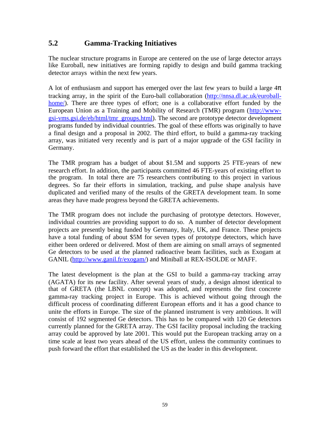# **5.2 Gamma-Tracking Initiatives**

The nuclear structure programs in Europe are centered on the use of large detector arrays like Euroball, new initiatives are forming rapidly to design and build gamma tracking detector arrays within the next few years.

A lot of enthusiasm and support has emerged over the last few years to build a large  $4\pi$ tracking array, in the spirit of the Euro-ball collaboration [\(http://nnsa.dl.ac.uk/euroball](http://nnsa.dl.ac.uk/euroball-)home/). There are three types of effort; one is a collaborative effort funded by the European Union as a Training and Mobility of Research (TMR) program ([http://www](http://www-)gsi-vms.gsi.de/eb/html/tmr\_groups.html). The second are prototype detector development programs funded by individual countries. The goal of these efforts was originally to have a final design and a proposal in 2002. The third effort, to build a gamma-ray tracking array, was initiated very recently and is part of a major upgrade of the GSI facility in Germany.

The TMR program has a budget of about \$1.5M and supports 25 FTE-years of new research effort. In addition, the participants committed 46 FTE-years of existing effort to the program. In total there are 75 researchers contributing to this project in various degrees. So far their efforts in simulation, tracking, and pulse shape analysis have duplicated and verified many of the results of the GRETA development team. In some areas they have made progress beyond the GRETA achievements.

The TMR program does not include the purchasing of prototype detectors. However, individual countries are providing support to do so. A number of detector development projects are presently being funded by Germany, Italy, UK, and France. These projects have a total funding of about \$5M for seven types of prototype detectors, which have either been ordered or delivered. Most of them are aiming on small arrays of segmented Ge detectors to be used at the planned radioactive beam facilities, such as Exogam at GANIL [\(http://www.ganil.fr/exogam/](http://www.ganil.fr/exogam/)) and Miniball at REX-ISOLDE or MAFF.

The latest development is the plan at the GSI to build a gamma-ray tracking array (AGATA) for its new facility. After several years of study, a design almost identical to that of GRETA (the LBNL concept) was adopted, and represents the first concrete gamma-ray tracking project in Europe. This is achieved without going through the difficult process of coordinating different European efforts and it has a good chance to unite the efforts in Europe. The size of the planned instrument is very ambitious. It will consist of 192 segmented Ge detectors. This has to be compared with 120 Ge detectors currently planned for the GRETA array. The GSI facility proposal including the tracking array could be approved by late 2001. This would put the European tracking array on a time scale at least two years ahead of the US effort, unless the community continues to push forward the effort that established the US as the leader in this development.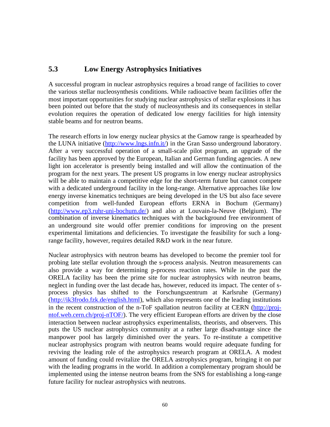# **5.3 Low Energy Astrophysics Initiatives**

A successful program in nuclear astrophysics requires a broad range of facilities to cover the various stellar nucleosynthesis conditions. While radioactive beam facilities offer the most important opportunities for studying nuclear astrophysics of stellar explosions it has been pointed out before that the study of nucleosynthesis and its consequences in stellar evolution requires the operation of dedicated low energy facilities for high intensity stable beams and for neutron beams.

The research efforts in low energy nuclear physics at the Gamow range is spearheaded by the LUNA initiative (<http://www.lngs.infn.it/>) in the Gran Sasso underground laboratory. After a very successful operation of a small-scale pilot program, an upgrade of the facility has been approved by the European, Italian and German funding agencies. A new light ion accelerator is presently being installed and will allow the continuation of the program for the next years. The present US programs in low energy nuclear astrophysics will be able to maintain a competitive edge for the short-term future but cannot compete with a dedicated underground facility in the long-range. Alternative approaches like low energy inverse kinematics techniques are being developed in the US but also face severe competition from well-funded European efforts ERNA in Bochum (Germany) (<http://www.ep3.ruhr-uni-bochum.de/>) and also at Louvain-la-Neuve (Belgium). The combination of inverse kinematics techniques with the background free environment of an underground site would offer premier conditions for improving on the present experimental limitations and deficiencies. To investigate the feasibility for such a longrange facility, however, requires detailed R&D work in the near future.

Nuclear astrophysics with neutron beams has developed to become the premier tool for probing late stellar evolution through the s-process analysis. Neutron measurements can also provide a way for determining p-process reaction rates. While in the past the ORELA facility has been the prime site for nuclear astrophysics with neutron beams, neglect in funding over the last decade has, however, reduced its impact. The center of sprocess physics has shifted to the Forschungszentrum at Karlsruhe (Germany) (<http://ik3frodo.fzk.de/english.html>), which also represents one of the leading institutions in the recent construction of the n-ToF spallation neutron facility at CERN [\(http://proj](http://proj-)ntof.web.cern.ch/proj-nTOF/). The very efficient European efforts are driven by the close interaction between nuclear astrophysics experimentalists, theorists, and observers. This puts the US nuclear astrophysics community at a rather large disadvantage since the manpower pool has largely diminished over the years. To re-institute a competitive nuclear astrophysics program with neutron beams would require adequate funding for reviving the leading role of the astrophysics research program at ORELA. A modest amount of funding could revitalize the ORELA astrophysics program, bringing it on par with the leading programs in the world. In addition a complementary program should be implemented using the intense neutron beams from the SNS for establishing a long-range future facility for nuclear astrophysics with neutrons.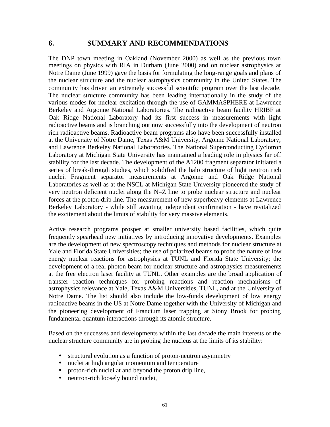## **6. SUMMARY AND RECOMMENDATIONS**

The DNP town meeting in Oakland (November 2000) as well as the previous town meetings on physics with RIA in Durham (June 2000) and on nuclear astrophysics at Notre Dame (June 1999) gave the basis for formulating the long-range goals and plans of the nuclear structure and the nuclear astrophysics community in the United States. The community has driven an extremely successful scientific program over the last decade. The nuclear structure community has been leading internationally in the study of the various modes for nuclear excitation through the use of GAMMASPHERE at Lawrence Berkeley and Argonne National Laboratories. The radioactive beam facility HRIBF at Oak Ridge National Laboratory had its first success in measurements with light radioactive beams and is branching out now successfully into the development of neutron rich radioactive beams. Radioactive beam programs also have been successfully installed at the University of Notre Dame, Texas A&M University, Argonne National Laboratory, and Lawrence Berkeley National Laboratories. The National Superconducting Cyclotron Laboratory at Michigan State University has maintained a leading role in physics far off stability for the last decade. The development of the A1200 fragment separator initiated a series of break-through studies, which solidified the halo structure of light neutron rich nuclei. Fragment separator measurements at Argonne and Oak Ridge National Laboratories as well as at the NSCL at Michigan State University pioneered the study of very neutron deficient nuclei along the N=Z line to probe nuclear structure and nuclear forces at the proton-drip line. The measurement of new superheavy elements at Lawrence Berkeley Laboratory - while still awaiting independent confirmation - have revitalized the excitement about the limits of stability for very massive elements.

Active research programs prosper at smaller university based facilities, which quite frequently spearhead new initiatives by introducing innovative developments. Examples are the development of new spectroscopy techniques and methods for nuclear structure at Yale and Florida State Universities; the use of polarized beams to probe the nature of low energy nuclear reactions for astrophysics at TUNL and Florida State University; the development of a real photon beam for nuclear structure and astrophysics measurements at the free electron laser facility at TUNL. Other examples are the broad application of transfer reaction techniques for probing reactions and reaction mechanisms of astrophysics relevance at Yale, Texas A&M Universities, TUNL, and at the University of Notre Dame. The list should also include the low-funds development of low energy radioactive beams in the US at Notre Dame together with the University of Michigan and the pioneering development of Francium laser trapping at Stony Brook for probing fundamental quantum interactions through its atomic structure.

Based on the successes and developments within the last decade the main interests of the nuclear structure community are in probing the nucleus at the limits of its stability:

- structural evolution as a function of proton-neutron asymmetry
- nuclei at high angular momentum and temperature
- proton-rich nuclei at and beyond the proton drip line,
- neutron-rich loosely bound nuclei,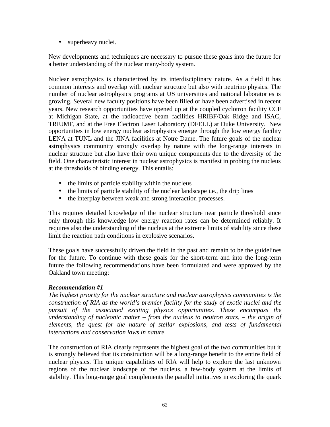• superheavy nuclei.

New developments and techniques are necessary to pursue these goals into the future for a better understanding of the nuclear many-body system.

Nuclear astrophysics is characterized by its interdisciplinary nature. As a field it has common interests and overlap with nuclear structure but also with neutrino physics. The number of nuclear astrophysics programs at US universities and national laboratories is growing. Several new faculty positions have been filled or have been advertised in recent years. New research opportunities have opened up at the coupled cyclotron facility CCF at Michigan State, at the radioactive beam facilities HRIBF/Oak Ridge and ISAC, TRIUMF, and at the Free Electron Laser Laboratory (DFELL) at Duke University. New opportunities in low energy nuclear astrophysics emerge through the low energy facility LENA at TUNL and the JINA facilities at Notre Dame. The future goals of the nuclear astrophysics community strongly overlap by nature with the long-range interests in nuclear structure but also have their own unique components due to the diversity of the field. One characteristic interest in nuclear astrophysics is manifest in probing the nucleus at the thresholds of binding energy. This entails:

- the limits of particle stability within the nucleus
- the limits of particle stability of the nuclear landscape i.e., the drip lines
- the interplay between weak and strong interaction processes.

This requires detailed knowledge of the nuclear structure near particle threshold since only through this knowledge low energy reaction rates can be determined reliably. It requires also the understanding of the nucleus at the extreme limits of stability since these limit the reaction path conditions in explosive scenarios.

These goals have successfully driven the field in the past and remain to be the guidelines for the future. To continue with these goals for the short-term and into the long-term future the following recommendations have been formulated and were approved by the Oakland town meeting:

#### *Recommendation #1*

*The highest priority for the nuclear structure and nuclear astrophysics communities is the construction of RIA as the world's premier facility for the study of exotic nuclei and the pursuit of the associated exciting physics opportunities. These encompass the understanding of nucleonic matter – from the nucleus to neutron stars, – the origin of elements, the quest for the nature of stellar explosions, and tests of fundamental interactions and conservation laws in nature.*

The construction of RIA clearly represents the highest goal of the two communities but it is strongly believed that its construction will be a long-range benefit to the entire field of nuclear physics. The unique capabilities of RIA will help to explore the last unknown regions of the nuclear landscape of the nucleus, a few-body system at the limits of stability. This long-range goal complements the parallel initiatives in exploring the quark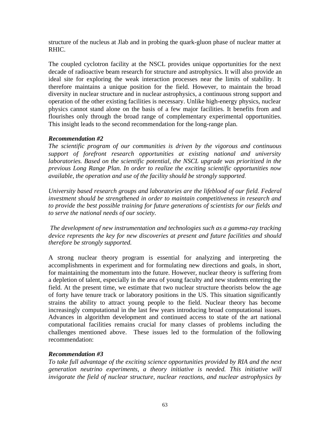structure of the nucleus at Jlab and in probing the quark-gluon phase of nuclear matter at RHIC.

The coupled cyclotron facility at the NSCL provides unique opportunities for the next decade of radioactive beam research for structure and astrophysics. It will also provide an ideal site for exploring the weak interaction processes near the limits of stability. It therefore maintains a unique position for the field. However, to maintain the broad diversity in nuclear structure and in nuclear astrophysics, a continuous strong support and operation of the other existing facilities is necessary. Unlike high-energy physics, nuclear physics cannot stand alone on the basis of a few major facilities. It benefits from and flourishes only through the broad range of complementary experimental opportunities. This insight leads to the second recommendation for the long-range plan.

## *Recommendation #2*

*The scientific program of our communities is driven by the vigorous and continuous support of forefront research opportunities at existing national and university laboratories. Based on the scientific potential, the NSCL upgrade was prioritized in the previous Long Range Plan. In order to realize the exciting scientific opportunities now available, the operation and use of the facility should be strongly supported*.

*University based research groups and laboratories are the lifeblood of our field. Federal investment should be strengthened in order to maintain competitiveness in research and to provide the best possible training for future generations of scientists for our fields and to serve the national needs of our society.*

 *The development of new instrumentation and technologies such as a gamma-ray tracking device represents the key for new discoveries at present and future facilities and should therefore be strongly supported.*

A strong nuclear theory program is essential for analyzing and interpreting the accomplishments in experiment and for formulating new directions and goals, in short, for maintaining the momentum into the future. However, nuclear theory is suffering from a depletion of talent, especially in the area of young faculty and new students entering the field. At the present time, we estimate that two nuclear structure theorists below the age of forty have tenure track or laboratory positions in the US. This situation significantly strains the ability to attract young people to the field. Nuclear theory has become increasingly computational in the last few years introducing broad computational issues. Advances in algorithm development and continued access to state of the art national computational facilities remains crucial for many classes of problems including the challenges mentioned above. These issues led to the formulation of the following recommendation:

## *Recommendation #3*

*To take full advantage of the exciting science opportunities provided by RIA and the next generation neutrino experiments, a theory initiative is needed. This initiative will invigorate the field of nuclear structure, nuclear reactions, and nuclear astrophysics by*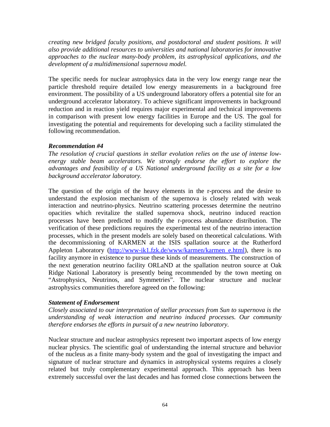*creating new bridged faculty positions, and postdoctoral and student positions. It will also provide additional resources to universities and national laboratories for innovative approaches to the nuclear many-body problem, its astrophysical applications, and the development of a multidimensional supernova model.*

The specific needs for nuclear astrophysics data in the very low energy range near the particle threshold require detailed low energy measurements in a background free environment. The possibility of a US underground laboratory offers a potential site for an underground accelerator laboratory. To achieve significant improvements in background reduction and in reaction yield requires major experimental and technical improvements in comparison with present low energy facilities in Europe and the US. The goal for investigating the potential and requirements for developing such a facility stimulated the following recommendation.

## *Recommendation #4*

*The resolution of crucial questions in stellar evolution relies on the use of intense lowenergy stable beam accelerators. We strongly endorse the effort to explore the advantages and feasibility of a US National underground facility as a site for a low background accelerator laboratory.*

The question of the origin of the heavy elements in the r-process and the desire to understand the explosion mechanism of the supernova is closely related with weak interaction and neutrino-physics. Neutrino scattering processes determine the neutrino opacities which revitalize the stalled supernova shock, neutrino induced reaction processes have been predicted to modify the r-process abundance distribution. The verification of these predictions requires the experimental test of the neutrino interaction processes, which in the present models are solely based on theoretical calculations. With the decommissioning of KARMEN at the ISIS spallation source at the Rutherford Appleton Laboratory [\(http://www-ik1.fzk.de/www/karmen/karmen\\_e.html](http://www-ik1.fzk.de/www/karmen/karmen_e.html)), there is no facility anymore in existence to pursue these kinds of measurements. The construction of the next generation neutrino facility ORLaND at the spallation neutron source at Oak Ridge National Laboratory is presently being recommended by the town meeting on "Astrophysics, Neutrinos, and Symmetries". The nuclear structure and nuclear astrophysics communities therefore agreed on the following:

## *Statement of Endorsement*

*Closely associated to our interpretation of stellar processes from Sun to supernova is the understanding of weak interaction and neutrino induced processes. Our community therefore endorses the efforts in pursuit of a new neutrino laboratory.*

Nuclear structure and nuclear astrophysics represent two important aspects of low energy nuclear physics. The scientific goal of understanding the internal structure and behavior of the nucleus as a finite many-body system and the goal of investigating the impact and signature of nuclear structure and dynamics in astrophysical systems requires a closely related but truly complementary experimental approach. This approach has been extremely successful over the last decades and has formed close connections between the